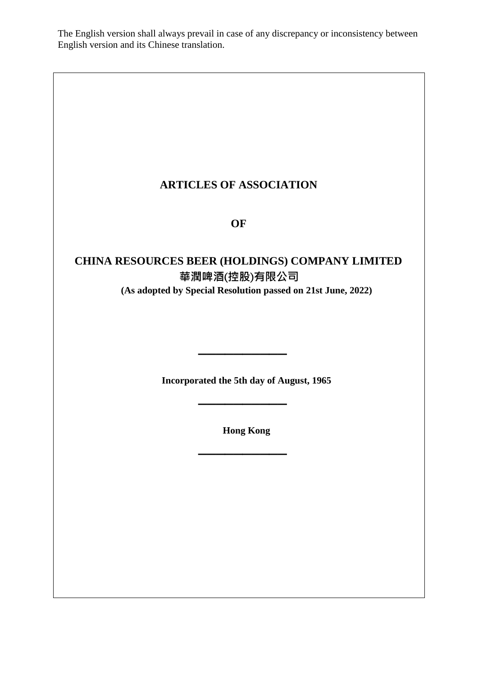The English version shall always prevail in case of any discrepancy or inconsistency between English version and its Chinese translation.

# **ARTICLES OF ASSOCIATION**

**OF**

# **CHINA RESOURCES BEER (HOLDINGS) COMPANY LIMITED 華潤啤酒**(**控股**)**有限公司 (As adopted by Special Resolution passed on 21st June, 2022)**

**Incorporated the 5th day of August, 1965**

**\_\_\_\_\_\_\_\_\_\_**

**\_\_\_\_\_\_\_\_\_\_**

**Hong Kong**

**\_\_\_\_\_\_\_\_\_\_**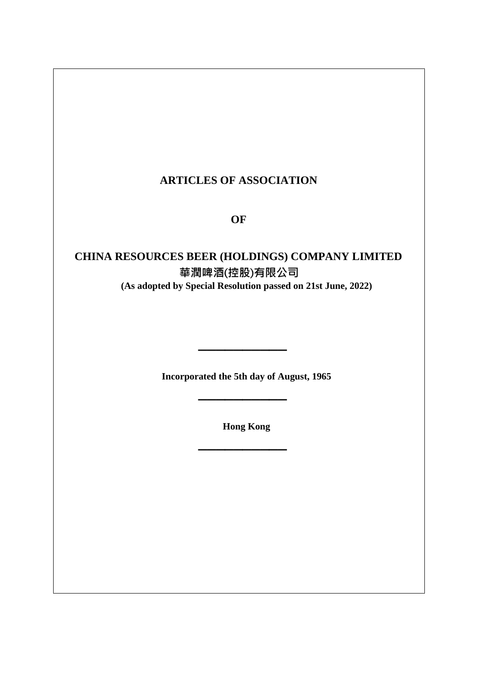# **ARTICLES OF ASSOCIATION**

# **OF**

# **CHINA RESOURCES BEER (HOLDINGS) COMPANY LIMITED 華潤啤酒**(**控股**)**有限公司 (As adopted by Special Resolution passed on 21st June, 2022)**

**Incorporated the 5th day of August, 1965**

**\_\_\_\_\_\_\_\_\_\_**

**\_\_\_\_\_\_\_\_\_\_**

**Hong Kong**

**\_\_\_\_\_\_\_\_\_\_**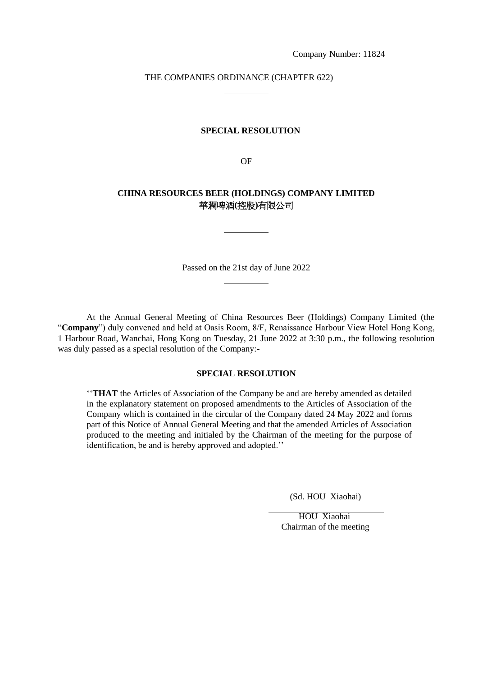### THE COMPANIES ORDINANCE (CHAPTER 622)

### **SPECIAL RESOLUTION**

OF

### **CHINA RESOURCES BEER (HOLDINGS) COMPANY LIMITED** 華潤啤酒**(**控股**)**有限公司

Passed on the 21st day of June 2022

At the Annual General Meeting of China Resources Beer (Holdings) Company Limited (the "**Company**") duly convened and held at Oasis Room, 8/F, Renaissance Harbour View Hotel Hong Kong, 1 Harbour Road, Wanchai, Hong Kong on Tuesday, 21 June 2022 at 3:30 p.m., the following resolution was duly passed as a special resolution of the Company:-

### **SPECIAL RESOLUTION**

''**THAT** the Articles of Association of the Company be and are hereby amended as detailed in the explanatory statement on proposed amendments to the Articles of Association of the Company which is contained in the circular of the Company dated 24 May 2022 and forms part of this Notice of Annual General Meeting and that the amended Articles of Association produced to the meeting and initialed by the Chairman of the meeting for the purpose of identification, be and is hereby approved and adopted.''

(Sd. HOU Xiaohai)

HOU Xiaohai Chairman of the meeting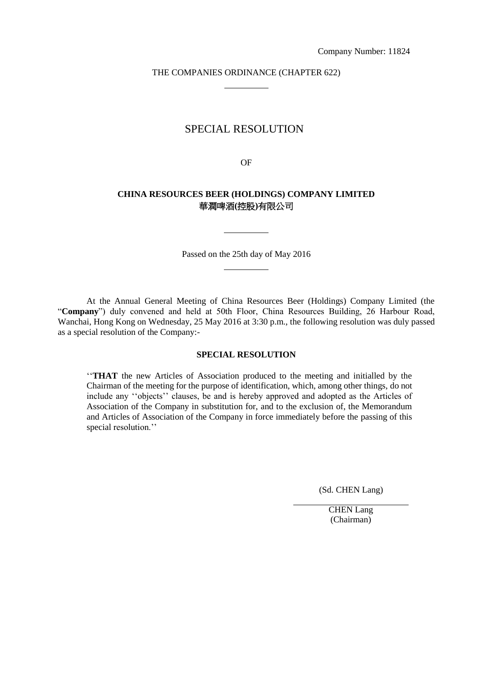### THE COMPANIES ORDINANCE (CHAPTER 622)

### SPECIAL RESOLUTION

OF

### **CHINA RESOURCES BEER (HOLDINGS) COMPANY LIMITED** 華潤啤酒**(**控股**)**有限公司

Passed on the 25th day of May 2016

At the Annual General Meeting of China Resources Beer (Holdings) Company Limited (the "**Company**") duly convened and held at 50th Floor, China Resources Building, 26 Harbour Road, Wanchai, Hong Kong on Wednesday, 25 May 2016 at 3:30 p.m., the following resolution was duly passed as a special resolution of the Company:-

### **SPECIAL RESOLUTION**

''**THAT** the new Articles of Association produced to the meeting and initialled by the Chairman of the meeting for the purpose of identification, which, among other things, do not include any ''objects'' clauses, be and is hereby approved and adopted as the Articles of Association of the Company in substitution for, and to the exclusion of, the Memorandum and Articles of Association of the Company in force immediately before the passing of this special resolution.''

(Sd. CHEN Lang)

CHEN Lang (Chairman)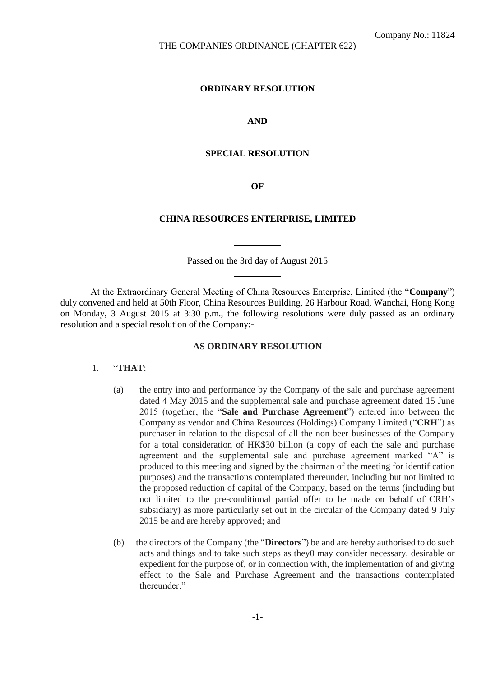#### **ORDINARY RESOLUTION**

#### **AND**

### **SPECIAL RESOLUTION**

**OF**

#### **CHINA RESOURCES ENTERPRISE, LIMITED**

Passed on the 3rd day of August 2015

At the Extraordinary General Meeting of China Resources Enterprise, Limited (the "**Company**") duly convened and held at 50th Floor, China Resources Building, 26 Harbour Road, Wanchai, Hong Kong on Monday, 3 August 2015 at 3:30 p.m., the following resolutions were duly passed as an ordinary resolution and a special resolution of the Company:-

### **AS ORDINARY RESOLUTION**

#### 1. "**THAT**:

- (a) the entry into and performance by the Company of the sale and purchase agreement dated 4 May 2015 and the supplemental sale and purchase agreement dated 15 June 2015 (together, the "**Sale and Purchase Agreement**") entered into between the Company as vendor and China Resources (Holdings) Company Limited ("**CRH**") as purchaser in relation to the disposal of all the non-beer businesses of the Company for a total consideration of HK\$30 billion (a copy of each the sale and purchase agreement and the supplemental sale and purchase agreement marked "A" is produced to this meeting and signed by the chairman of the meeting for identification purposes) and the transactions contemplated thereunder, including but not limited to the proposed reduction of capital of the Company, based on the terms (including but not limited to the pre-conditional partial offer to be made on behalf of CRH's subsidiary) as more particularly set out in the circular of the Company dated 9 July 2015 be and are hereby approved; and
- (b) the directors of the Company (the "**Directors**") be and are hereby authorised to do such acts and things and to take such steps as they0 may consider necessary, desirable or expedient for the purpose of, or in connection with, the implementation of and giving effect to the Sale and Purchase Agreement and the transactions contemplated thereunder."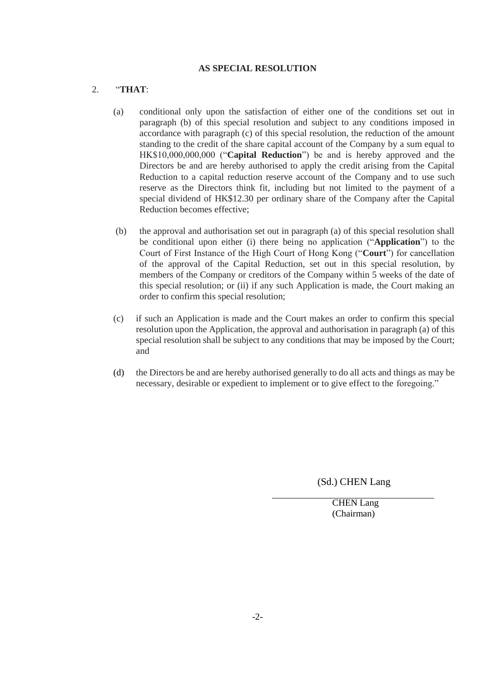### **AS SPECIAL RESOLUTION**

### 2. "**THAT**:

- (a) conditional only upon the satisfaction of either one of the conditions set out in paragraph (b) of this special resolution and subject to any conditions imposed in accordance with paragraph (c) of this special resolution, the reduction of the amount standing to the credit of the share capital account of the Company by a sum equal to HK\$10,000,000,000 ("**Capital Reduction**") be and is hereby approved and the Directors be and are hereby authorised to apply the credit arising from the Capital Reduction to a capital reduction reserve account of the Company and to use such reserve as the Directors think fit, including but not limited to the payment of a special dividend of HK\$12.30 per ordinary share of the Company after the Capital Reduction becomes effective;
- (b) the approval and authorisation set out in paragraph (a) of this special resolution shall be conditional upon either (i) there being no application ("**Application**") to the Court of First Instance of the High Court of Hong Kong ("**Court**") for cancellation of the approval of the Capital Reduction, set out in this special resolution, by members of the Company or creditors of the Company within 5 weeks of the date of this special resolution; or (ii) if any such Application is made, the Court making an order to confirm this special resolution;
- (c) if such an Application is made and the Court makes an order to confirm this special resolution upon the Application, the approval and authorisation in paragraph (a) of this special resolution shall be subject to any conditions that may be imposed by the Court; and
- (d) the Directors be and are hereby authorised generally to do all acts and things as may be necessary, desirable or expedient to implement or to give effect to the foregoing."

(Sd.) CHEN Lang

CHEN Lang (Chairman)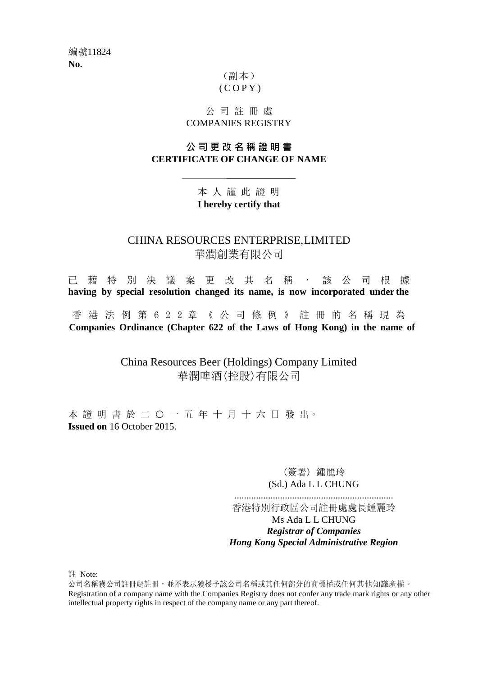## (副本)  $(C$  O P Y  $)$

## 公 司 註 冊 處 COMPANIES REGISTRY

## **公 司 更 改 名 稱 證 明 書 CERTIFICATE OF CHANGE OF NAME**

# 本 人 謹 此 證 明 **I hereby certify that**

# CHINA RESOURCES ENTERPRISE,LIMITED 華潤創業有限公司

已 藉 特 別 決 議 案 更 改 其 名 稱 , 該 公 司 根 據 **having by special resolution changed its name, is now incorporated under the**

香 港 法 例 第 6 2 2 章 《 公 司 條 例 》 註 冊 的 名 稱 現 為 **Companies Ordinance (Chapter 622 of the Laws of Hong Kong) in the name of**

> China Resources Beer (Holdings) Company Limited 華潤啤酒(控股)有限公司

本證明書於二〇一五年十月十六日發出。 **Issued on** 16 October 2015.

> (簽署) 鍾麗玲 (Sd.) Ada L L CHUNG

.................................................................. 香港特別行政區公司註冊處處長鍾麗玲 Ms Ada L L CHUNG

*Registrar of Companies Hong Kong Special Administrative Region*

註 Note:

公司名稱獲公司註冊處註冊,並不表示獲授予該公司名稱或其任何部分的商標權或任何其他知識產權。 Registration of a company name with the Companies Registry does not confer any trade mark rights or any other intellectual property rights in respect of the company name or any part thereof.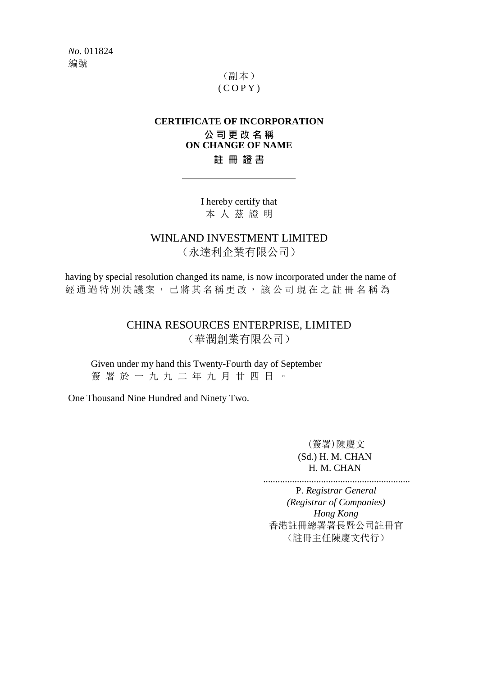*No.* 011824 編號

# (副本)  $(C$  O P Y  $)$

## **CERTIFICATE OF INCORPORATION 公 司 更 改 名 稱 ON CHANGE OF NAME 註 冊 證 書**

I hereby certify that 本 人 茲 證 明

WINLAND INVESTMENT LIMITED

(永達利企業有限公司)

having by special resolution changed its name, is now incorporated under the name of 經 通 過 特 別 決 議 案 , 已將其名稱更改 , 該 公 司 現 在 之 註 冊 名 稱 為

> CHINA RESOURCES ENTERPRISE, LIMITED (華潤創業有限公司)

Given under my hand this Twenty-Fourth day of September 簽 署 於 一 九 九 二 年 九 月 廿 四 日 。

One Thousand Nine Hundred and Ninety Two.

(簽署)陳慶文 (Sd.) H. M. CHAN H. M. CHAN

............................................................. P. *Registrar General (Registrar of Companies) Hong Kong* 香港註冊總署署長暨公司註冊官 (註冊主任陳慶文代行)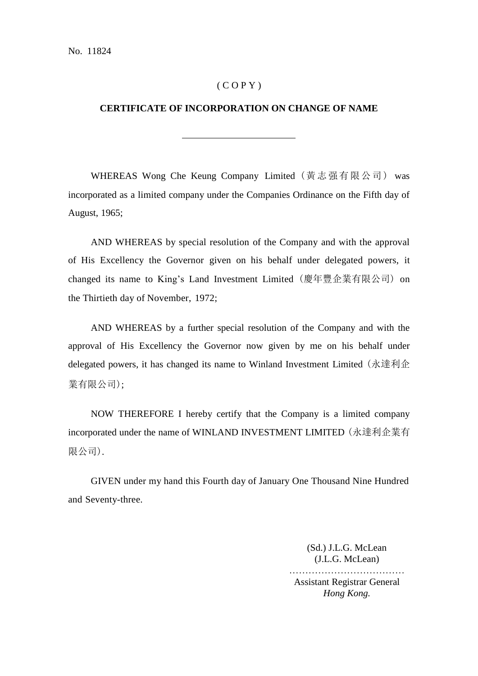### $(C O P Y)$

### **CERTIFICATE OF INCORPORATION ON CHANGE OF NAME**

WHEREAS Wong Che Keung Company Limited (黃志强有限公司) was incorporated as a limited company under the Companies Ordinance on the Fifth day of August, 1965;

AND WHEREAS by special resolution of the Company and with the approval of His Excellency the Governor given on his behalf under delegated powers, it changed its name to King's Land Investment Limited (慶年豐企業有限公司) on the Thirtieth day of November, 1972;

AND WHEREAS by a further special resolution of the Company and with the approval of His Excellency the Governor now given by me on his behalf under delegated powers, it has changed its name to Winland Investment Limited (永達利企 業有限公司);

NOW THEREFORE I hereby certify that the Company is a limited company incorporated under the name of WINLAND INVESTMENT LIMITED (永達利企業有 限公司).

GIVEN under my hand this Fourth day of January One Thousand Nine Hundred and Seventy-three.

> (Sd.) J.L.G. McLean (J.L.G. McLean) ………………………………

Assistant Registrar General *Hong Kong.*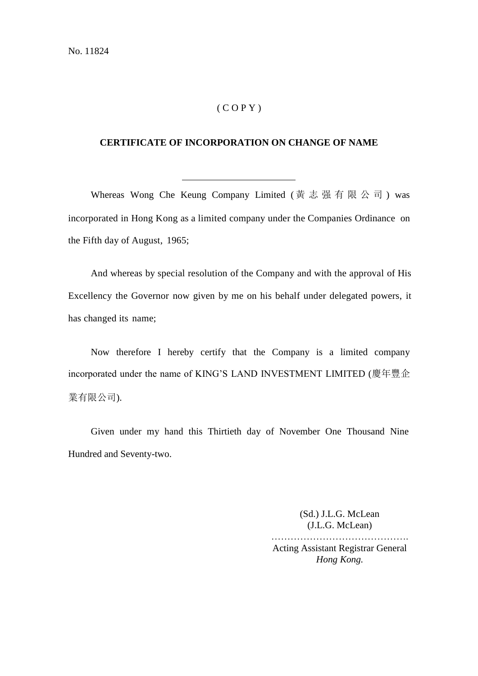### $(COPY)$

### **CERTIFICATE OF INCORPORATION ON CHANGE OF NAME**

Whereas Wong Che Keung Company Limited (黃志强有限公司) was incorporated in Hong Kong as a limited company under the Companies Ordinance on the Fifth day of August, 1965;

And whereas by special resolution of the Company and with the approval of His Excellency the Governor now given by me on his behalf under delegated powers, it has changed its name;

Now therefore I hereby certify that the Company is a limited company incorporated under the name of KING'S LAND INVESTMENT LIMITED (慶年豐企 業有限公司).

Given under my hand this Thirtieth day of November One Thousand Nine Hundred and Seventy-two.

> (Sd.) J.L.G. McLean (J.L.G. McLean) ……………………………………. Acting Assistant Registrar General *Hong Kong.*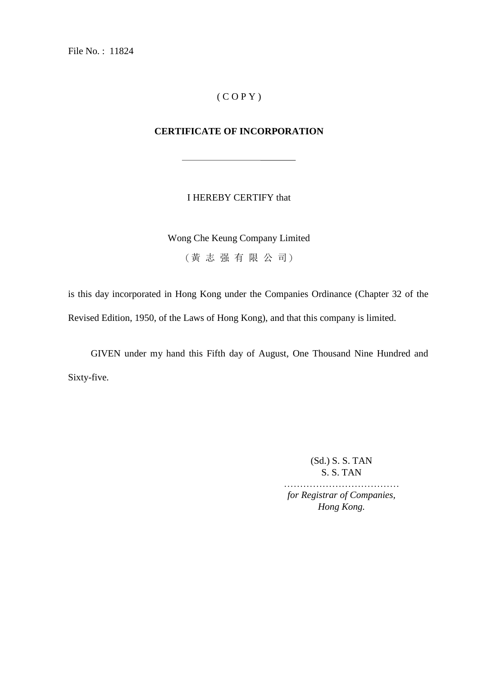File No. : 11824

# ( C O P Y )

# **CERTIFICATE OF INCORPORATION**

### I HEREBY CERTIFY that

Wong Che Keung Company Limited

(黃 志 强 有 限 公 司)

is this day incorporated in Hong Kong under the Companies Ordinance (Chapter 32 of the Revised Edition, 1950, of the Laws of Hong Kong), and that this company is limited.

GIVEN under my hand this Fifth day of August, One Thousand Nine Hundred and Sixty-five.

> (Sd.) S. S. TAN S. S. TAN

……………………………… *for Registrar of Companies, Hong Kong.*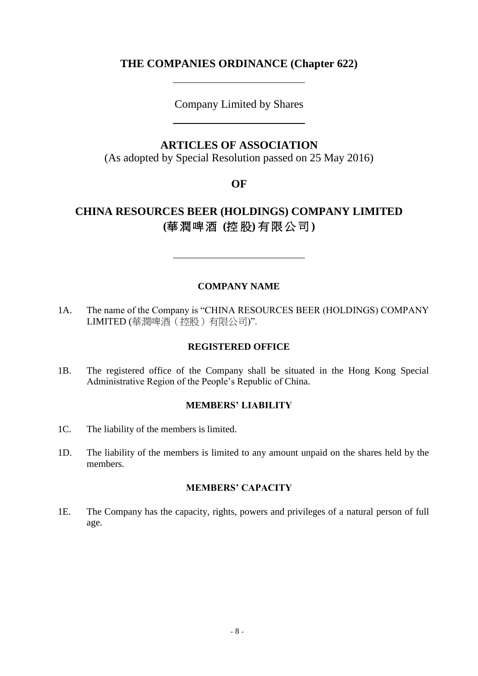# **THE COMPANIES ORDINANCE (Chapter 622)**

Company Limited by Shares

## **ARTICLES OF ASSOCIATION**

(As adopted by Special Resolution passed on 25 May 2016)

**OF**

# **CHINA RESOURCES BEER (HOLDINGS) COMPANY LIMITED (**華潤啤酒 **(**控 股**)** 有限公司 **)**

### **COMPANY NAME**

1A. The name of the Company is "CHINA RESOURCES BEER (HOLDINGS) COMPANY LIMITED (華潤啤酒(控股)有限公司)".

### **REGISTERED OFFICE**

1B. The registered office of the Company shall be situated in the Hong Kong Special Administrative Region of the People's Republic of China.

### **MEMBERS' LIABILITY**

- 1C. The liability of the members is limited.
- 1D. The liability of the members is limited to any amount unpaid on the shares held by the members.

### **MEMBERS' CAPACITY**

1E. The Company has the capacity, rights, powers and privileges of a natural person of full age.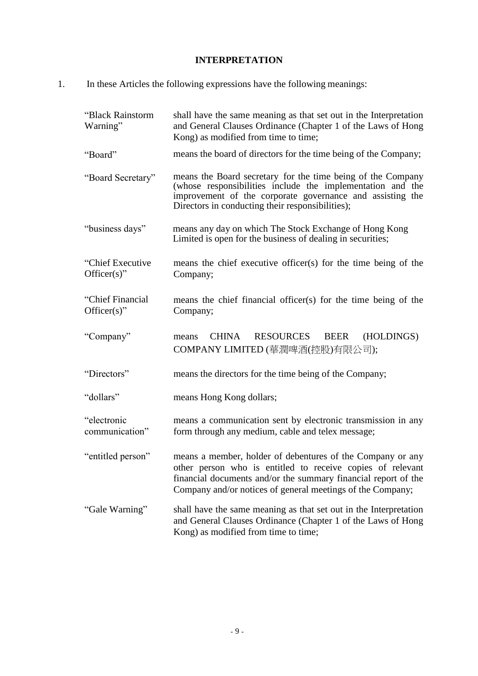# **INTERPRETATION**

1. In these Articles the following expressions have the following meanings:

| "Black Rainstorm<br>Warning"        | shall have the same meaning as that set out in the Interpretation<br>and General Clauses Ordinance (Chapter 1 of the Laws of Hong<br>Kong) as modified from time to time;                                                                                |
|-------------------------------------|----------------------------------------------------------------------------------------------------------------------------------------------------------------------------------------------------------------------------------------------------------|
| "Board"                             | means the board of directors for the time being of the Company;                                                                                                                                                                                          |
| "Board Secretary"                   | means the Board secretary for the time being of the Company<br>(whose responsibilities include the implementation and the<br>improvement of the corporate governance and assisting the<br>Directors in conducting their responsibilities);               |
| "business days"                     | means any day on which The Stock Exchange of Hong Kong<br>Limited is open for the business of dealing in securities;                                                                                                                                     |
| "Chief Executive"<br>$Officer(s)$ " | means the chief executive officer(s) for the time being of the<br>Company;                                                                                                                                                                               |
| "Chief Financial<br>$Officer(s)$ "  | means the chief financial officer(s) for the time being of the<br>Company;                                                                                                                                                                               |
| "Company"                           | <b>RESOURCES</b><br><b>CHINA</b><br><b>BEER</b><br>(HOLDINGS)<br>means<br>COMPANY LIMITED (華潤啤酒(控股)有限公司);                                                                                                                                                |
| "Directors"                         | means the directors for the time being of the Company;                                                                                                                                                                                                   |
| "dollars"                           | means Hong Kong dollars;                                                                                                                                                                                                                                 |
| "electronic<br>communication"       | means a communication sent by electronic transmission in any<br>form through any medium, cable and telex message;                                                                                                                                        |
| "entitled person"                   | means a member, holder of debentures of the Company or any<br>other person who is entitled to receive copies of relevant<br>financial documents and/or the summary financial report of the<br>Company and/or notices of general meetings of the Company; |
| "Gale Warning"                      | shall have the same meaning as that set out in the Interpretation<br>and General Clauses Ordinance (Chapter 1 of the Laws of Hong<br>Kong) as modified from time to time;                                                                                |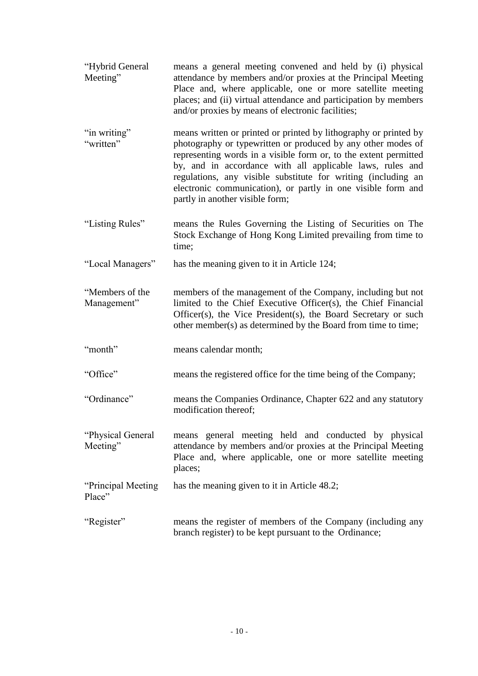- "Hybrid General Meeting" means a general meeting convened and held by (i) physical attendance by members and/or proxies at the Principal Meeting Place and, where applicable, one or more satellite meeting places; and (ii) virtual attendance and participation by members and/or proxies by means of electronic facilities;
- "in writing" "written" means written or printed or printed by lithography or printed by photography or typewritten or produced by any other modes of representing words in a visible form or, to the extent permitted by, and in accordance with all applicable laws, rules and regulations, any visible substitute for writing (including an electronic communication), or partly in one visible form and partly in another visible form;
- "Listing Rules" means the Rules Governing the Listing of Securities on The Stock Exchange of Hong Kong Limited prevailing from time to time;
- "Local Managers" has the meaning given to it in Article 124;

"Members of the Management" members of the management of the Company, including but not limited to the Chief Executive Officer(s), the Chief Financial Officer(s), the Vice President(s), the Board Secretary or such other member(s) as determined by the Board from time to time;

- "month" means calendar month;
- "Office" means the registered office for the time being of the Company;
- "Ordinance" means the Companies Ordinance, Chapter 622 and any statutory modification thereof;
- "Physical General Meeting" means general meeting held and conducted by physical attendance by members and/or proxies at the Principal Meeting Place and, where applicable, one or more satellite meeting places;

"Principal Meeting Place" has the meaning given to it in Article 48.2;

"Register" means the register of members of the Company (including any branch register) to be kept pursuant to the Ordinance;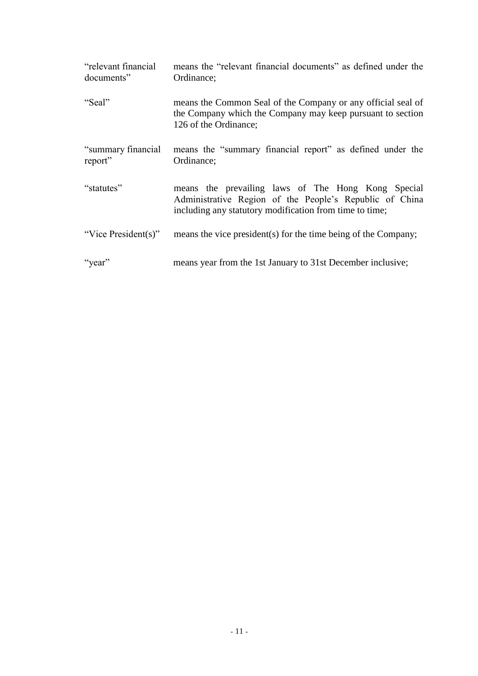| "relevant financial"<br>documents" | means the "relevant financial documents" as defined under the<br>Ordinance;                                                                                              |
|------------------------------------|--------------------------------------------------------------------------------------------------------------------------------------------------------------------------|
| "Seal"                             | means the Common Seal of the Company or any official seal of<br>the Company which the Company may keep pursuant to section<br>126 of the Ordinance;                      |
| "summary financial<br>report"      | means the "summary financial report" as defined under the<br>Ordinance;                                                                                                  |
| "statutes"                         | means the prevailing laws of The Hong Kong Special<br>Administrative Region of the People's Republic of China<br>including any statutory modification from time to time; |
| "Vice President(s)"                | means the vice president(s) for the time being of the Company;                                                                                                           |
| "year"                             | means year from the 1st January to 31st December inclusive;                                                                                                              |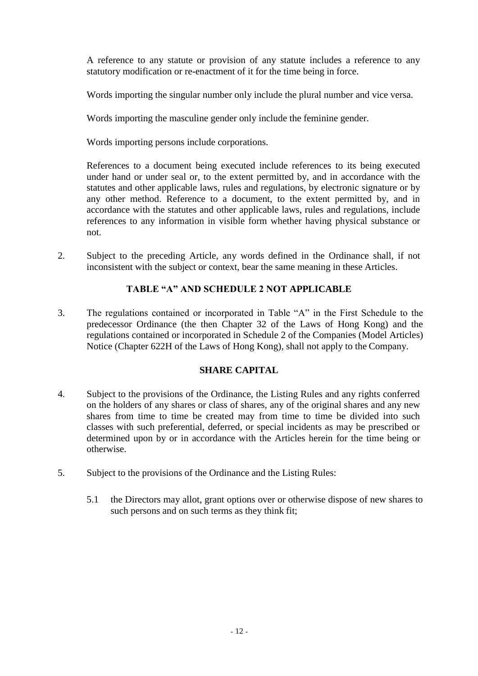A reference to any statute or provision of any statute includes a reference to any statutory modification or re-enactment of it for the time being in force.

Words importing the singular number only include the plural number and vice versa.

Words importing the masculine gender only include the feminine gender.

Words importing persons include corporations.

References to a document being executed include references to its being executed under hand or under seal or, to the extent permitted by, and in accordance with the statutes and other applicable laws, rules and regulations, by electronic signature or by any other method. Reference to a document, to the extent permitted by, and in accordance with the statutes and other applicable laws, rules and regulations, include references to any information in visible form whether having physical substance or not.

2. Subject to the preceding Article, any words defined in the Ordinance shall, if not inconsistent with the subject or context, bear the same meaning in these Articles.

## **TABLE "A" AND SCHEDULE 2 NOT APPLICABLE**

3. The regulations contained or incorporated in Table "A" in the First Schedule to the predecessor Ordinance (the then Chapter 32 of the Laws of Hong Kong) and the regulations contained or incorporated in Schedule 2 of the Companies (Model Articles) Notice (Chapter 622H of the Laws of Hong Kong), shall not apply to the Company.

## **SHARE CAPITAL**

- 4. Subject to the provisions of the Ordinance, the Listing Rules and any rights conferred on the holders of any shares or class of shares, any of the original shares and any new shares from time to time be created may from time to time be divided into such classes with such preferential, deferred, or special incidents as may be prescribed or determined upon by or in accordance with the Articles herein for the time being or otherwise.
- 5. Subject to the provisions of the Ordinance and the Listing Rules:
	- 5.1 the Directors may allot, grant options over or otherwise dispose of new shares to such persons and on such terms as they think fit;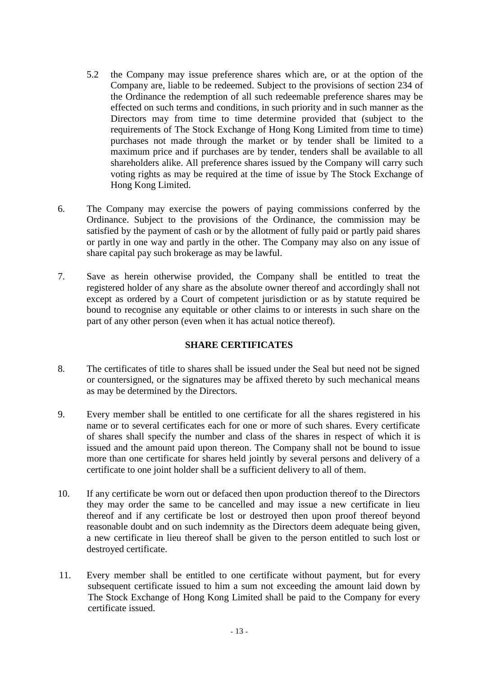- 5.2 the Company may issue preference shares which are, or at the option of the Company are, liable to be redeemed. Subject to the provisions of section 234 of the Ordinance the redemption of all such redeemable preference shares may be effected on such terms and conditions, in such priority and in such manner as the Directors may from time to time determine provided that (subject to the requirements of The Stock Exchange of Hong Kong Limited from time to time) purchases not made through the market or by tender shall be limited to a maximum price and if purchases are by tender, tenders shall be available to all shareholders alike. All preference shares issued by the Company will carry such voting rights as may be required at the time of issue by The Stock Exchange of Hong Kong Limited.
- 6. The Company may exercise the powers of paying commissions conferred by the Ordinance. Subject to the provisions of the Ordinance, the commission may be satisfied by the payment of cash or by the allotment of fully paid or partly paid shares or partly in one way and partly in the other. The Company may also on any issue of share capital pay such brokerage as may be lawful.
- 7. Save as herein otherwise provided, the Company shall be entitled to treat the registered holder of any share as the absolute owner thereof and accordingly shall not except as ordered by a Court of competent jurisdiction or as by statute required be bound to recognise any equitable or other claims to or interests in such share on the part of any other person (even when it has actual notice thereof).

## **SHARE CERTIFICATES**

- 8. The certificates of title to shares shall be issued under the Seal but need not be signed or countersigned, or the signatures may be affixed thereto by such mechanical means as may be determined by the Directors.
- 9. Every member shall be entitled to one certificate for all the shares registered in his name or to several certificates each for one or more of such shares. Every certificate of shares shall specify the number and class of the shares in respect of which it is issued and the amount paid upon thereon. The Company shall not be bound to issue more than one certificate for shares held jointly by several persons and delivery of a certificate to one joint holder shall be a sufficient delivery to all of them.
- 10. If any certificate be worn out or defaced then upon production thereof to the Directors they may order the same to be cancelled and may issue a new certificate in lieu thereof and if any certificate be lost or destroyed then upon proof thereof beyond reasonable doubt and on such indemnity as the Directors deem adequate being given, a new certificate in lieu thereof shall be given to the person entitled to such lost or destroyed certificate.
- 11. Every member shall be entitled to one certificate without payment, but for every subsequent certificate issued to him a sum not exceeding the amount laid down by The Stock Exchange of Hong Kong Limited shall be paid to the Company for every certificate issued.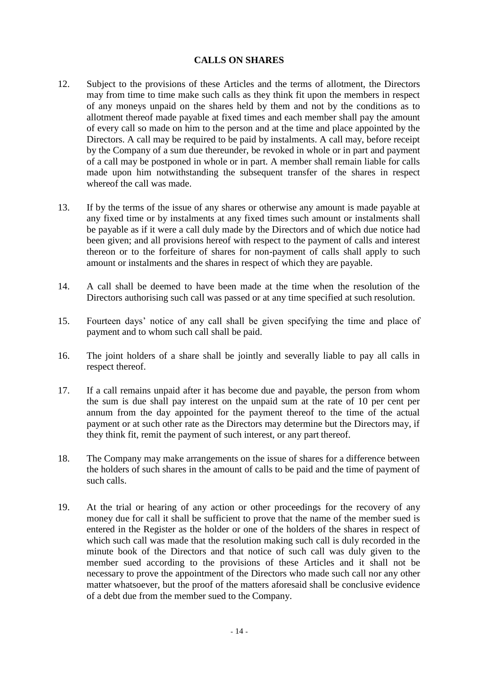## **CALLS ON SHARES**

- 12. Subject to the provisions of these Articles and the terms of allotment, the Directors may from time to time make such calls as they think fit upon the members in respect of any moneys unpaid on the shares held by them and not by the conditions as to allotment thereof made payable at fixed times and each member shall pay the amount of every call so made on him to the person and at the time and place appointed by the Directors. A call may be required to be paid by instalments. A call may, before receipt by the Company of a sum due thereunder, be revoked in whole or in part and payment of a call may be postponed in whole or in part. A member shall remain liable for calls made upon him notwithstanding the subsequent transfer of the shares in respect whereof the call was made.
- 13. If by the terms of the issue of any shares or otherwise any amount is made payable at any fixed time or by instalments at any fixed times such amount or instalments shall be payable as if it were a call duly made by the Directors and of which due notice had been given; and all provisions hereof with respect to the payment of calls and interest thereon or to the forfeiture of shares for non-payment of calls shall apply to such amount or instalments and the shares in respect of which they are payable.
- 14. A call shall be deemed to have been made at the time when the resolution of the Directors authorising such call was passed or at any time specified at such resolution.
- 15. Fourteen days' notice of any call shall be given specifying the time and place of payment and to whom such call shall be paid.
- 16. The joint holders of a share shall be jointly and severally liable to pay all calls in respect thereof.
- 17. If a call remains unpaid after it has become due and payable, the person from whom the sum is due shall pay interest on the unpaid sum at the rate of 10 per cent per annum from the day appointed for the payment thereof to the time of the actual payment or at such other rate as the Directors may determine but the Directors may, if they think fit, remit the payment of such interest, or any part thereof.
- 18. The Company may make arrangements on the issue of shares for a difference between the holders of such shares in the amount of calls to be paid and the time of payment of such calls.
- 19. At the trial or hearing of any action or other proceedings for the recovery of any money due for call it shall be sufficient to prove that the name of the member sued is entered in the Register as the holder or one of the holders of the shares in respect of which such call was made that the resolution making such call is duly recorded in the minute book of the Directors and that notice of such call was duly given to the member sued according to the provisions of these Articles and it shall not be necessary to prove the appointment of the Directors who made such call nor any other matter whatsoever, but the proof of the matters aforesaid shall be conclusive evidence of a debt due from the member sued to the Company.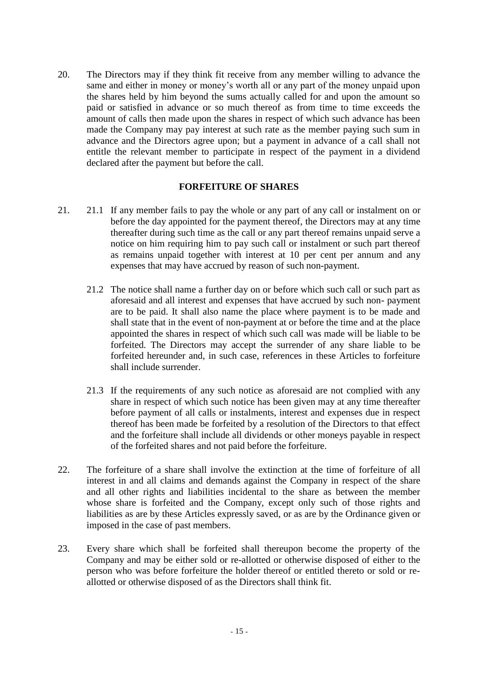20. The Directors may if they think fit receive from any member willing to advance the same and either in money or money's worth all or any part of the money unpaid upon the shares held by him beyond the sums actually called for and upon the amount so paid or satisfied in advance or so much thereof as from time to time exceeds the amount of calls then made upon the shares in respect of which such advance has been made the Company may pay interest at such rate as the member paying such sum in advance and the Directors agree upon; but a payment in advance of a call shall not entitle the relevant member to participate in respect of the payment in a dividend declared after the payment but before the call.

### **FORFEITURE OF SHARES**

- 21. 21.1 If any member fails to pay the whole or any part of any call or instalment on or before the day appointed for the payment thereof, the Directors may at any time thereafter during such time as the call or any part thereof remains unpaid serve a notice on him requiring him to pay such call or instalment or such part thereof as remains unpaid together with interest at 10 per cent per annum and any expenses that may have accrued by reason of such non-payment.
	- 21.2 The notice shall name a further day on or before which such call or such part as aforesaid and all interest and expenses that have accrued by such non- payment are to be paid. It shall also name the place where payment is to be made and shall state that in the event of non-payment at or before the time and at the place appointed the shares in respect of which such call was made will be liable to be forfeited. The Directors may accept the surrender of any share liable to be forfeited hereunder and, in such case, references in these Articles to forfeiture shall include surrender.
	- 21.3 If the requirements of any such notice as aforesaid are not complied with any share in respect of which such notice has been given may at any time thereafter before payment of all calls or instalments, interest and expenses due in respect thereof has been made be forfeited by a resolution of the Directors to that effect and the forfeiture shall include all dividends or other moneys payable in respect of the forfeited shares and not paid before the forfeiture.
- 22. The forfeiture of a share shall involve the extinction at the time of forfeiture of all interest in and all claims and demands against the Company in respect of the share and all other rights and liabilities incidental to the share as between the member whose share is forfeited and the Company, except only such of those rights and liabilities as are by these Articles expressly saved, or as are by the Ordinance given or imposed in the case of past members.
- 23. Every share which shall be forfeited shall thereupon become the property of the Company and may be either sold or re-allotted or otherwise disposed of either to the person who was before forfeiture the holder thereof or entitled thereto or sold or reallotted or otherwise disposed of as the Directors shall think fit.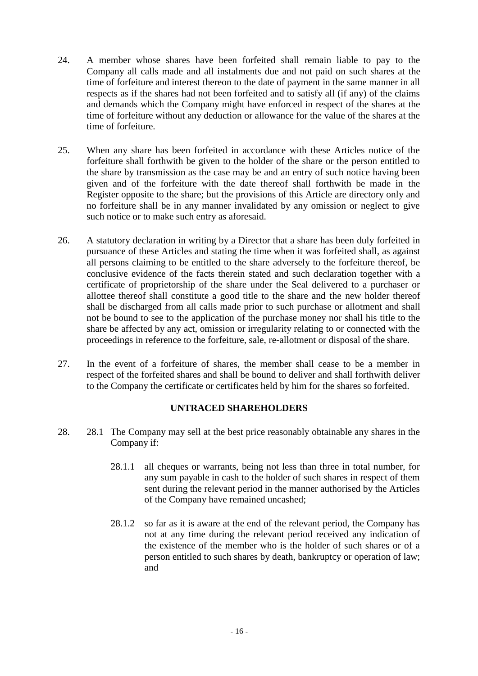- 24. A member whose shares have been forfeited shall remain liable to pay to the Company all calls made and all instalments due and not paid on such shares at the time of forfeiture and interest thereon to the date of payment in the same manner in all respects as if the shares had not been forfeited and to satisfy all (if any) of the claims and demands which the Company might have enforced in respect of the shares at the time of forfeiture without any deduction or allowance for the value of the shares at the time of forfeiture.
- 25. When any share has been forfeited in accordance with these Articles notice of the forfeiture shall forthwith be given to the holder of the share or the person entitled to the share by transmission as the case may be and an entry of such notice having been given and of the forfeiture with the date thereof shall forthwith be made in the Register opposite to the share; but the provisions of this Article are directory only and no forfeiture shall be in any manner invalidated by any omission or neglect to give such notice or to make such entry as aforesaid.
- 26. A statutory declaration in writing by a Director that a share has been duly forfeited in pursuance of these Articles and stating the time when it was forfeited shall, as against all persons claiming to be entitled to the share adversely to the forfeiture thereof, be conclusive evidence of the facts therein stated and such declaration together with a certificate of proprietorship of the share under the Seal delivered to a purchaser or allottee thereof shall constitute a good title to the share and the new holder thereof shall be discharged from all calls made prior to such purchase or allotment and shall not be bound to see to the application of the purchase money nor shall his title to the share be affected by any act, omission or irregularity relating to or connected with the proceedings in reference to the forfeiture, sale, re-allotment or disposal of the share.
- 27. In the event of a forfeiture of shares, the member shall cease to be a member in respect of the forfeited shares and shall be bound to deliver and shall forthwith deliver to the Company the certificate or certificates held by him for the shares so forfeited.

## **UNTRACED SHAREHOLDERS**

- 28. 28.1 The Company may sell at the best price reasonably obtainable any shares in the Company if:
	- 28.1.1 all cheques or warrants, being not less than three in total number, for any sum payable in cash to the holder of such shares in respect of them sent during the relevant period in the manner authorised by the Articles of the Company have remained uncashed;
	- 28.1.2 so far as it is aware at the end of the relevant period, the Company has not at any time during the relevant period received any indication of the existence of the member who is the holder of such shares or of a person entitled to such shares by death, bankruptcy or operation of law; and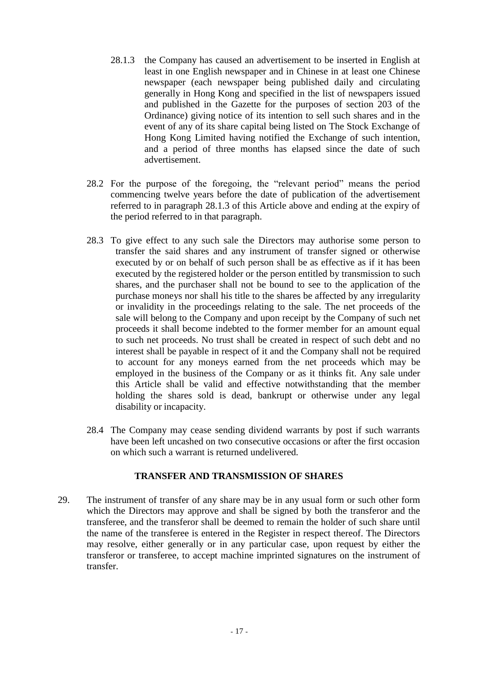- 28.1.3 the Company has caused an advertisement to be inserted in English at least in one English newspaper and in Chinese in at least one Chinese newspaper (each newspaper being published daily and circulating generally in Hong Kong and specified in the list of newspapers issued and published in the Gazette for the purposes of section 203 of the Ordinance) giving notice of its intention to sell such shares and in the event of any of its share capital being listed on The Stock Exchange of Hong Kong Limited having notified the Exchange of such intention, and a period of three months has elapsed since the date of such advertisement.
- 28.2 For the purpose of the foregoing, the "relevant period" means the period commencing twelve years before the date of publication of the advertisement referred to in paragraph 28.1.3 of this Article above and ending at the expiry of the period referred to in that paragraph.
- 28.3 To give effect to any such sale the Directors may authorise some person to transfer the said shares and any instrument of transfer signed or otherwise executed by or on behalf of such person shall be as effective as if it has been executed by the registered holder or the person entitled by transmission to such shares, and the purchaser shall not be bound to see to the application of the purchase moneys nor shall his title to the shares be affected by any irregularity or invalidity in the proceedings relating to the sale. The net proceeds of the sale will belong to the Company and upon receipt by the Company of such net proceeds it shall become indebted to the former member for an amount equal to such net proceeds. No trust shall be created in respect of such debt and no interest shall be payable in respect of it and the Company shall not be required to account for any moneys earned from the net proceeds which may be employed in the business of the Company or as it thinks fit. Any sale under this Article shall be valid and effective notwithstanding that the member holding the shares sold is dead, bankrupt or otherwise under any legal disability or incapacity.
- 28.4 The Company may cease sending dividend warrants by post if such warrants have been left uncashed on two consecutive occasions or after the first occasion on which such a warrant is returned undelivered.

## **TRANSFER AND TRANSMISSION OF SHARES**

29. The instrument of transfer of any share may be in any usual form or such other form which the Directors may approve and shall be signed by both the transferor and the transferee, and the transferor shall be deemed to remain the holder of such share until the name of the transferee is entered in the Register in respect thereof. The Directors may resolve, either generally or in any particular case, upon request by either the transferor or transferee, to accept machine imprinted signatures on the instrument of transfer.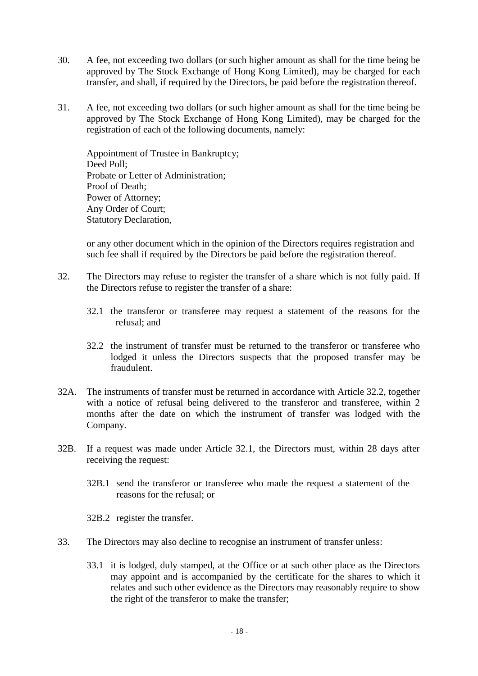- 30. A fee, not exceeding two dollars (or such higher amount as shall for the time being be approved by The Stock Exchange of Hong Kong Limited), may be charged for each transfer, and shall, if required by the Directors, be paid before the registration thereof.
- 31. A fee, not exceeding two dollars (or such higher amount as shall for the time being be approved by The Stock Exchange of Hong Kong Limited), may be charged for the registration of each of the following documents, namely:

Appointment of Trustee in Bankruptcy; Deed Poll; Probate or Letter of Administration; Proof of Death; Power of Attorney; Any Order of Court; Statutory Declaration,

or any other document which in the opinion of the Directors requires registration and such fee shall if required by the Directors be paid before the registration thereof.

- 32. The Directors may refuse to register the transfer of a share which is not fully paid. If the Directors refuse to register the transfer of a share:
	- 32.1 the transferor or transferee may request a statement of the reasons for the refusal; and
	- 32.2 the instrument of transfer must be returned to the transferor or transferee who lodged it unless the Directors suspects that the proposed transfer may be fraudulent.
- 32A. The instruments of transfer must be returned in accordance with Article 32.2, together with a notice of refusal being delivered to the transferor and transferee, within 2 months after the date on which the instrument of transfer was lodged with the Company.
- 32B. If a request was made under Article 32.1, the Directors must, within 28 days after receiving the request:
	- 32B.1 send the transferor or transferee who made the request a statement of the reasons for the refusal; or
	- 32B.2 register the transfer.
- 33. The Directors may also decline to recognise an instrument of transfer unless:
	- 33.1 it is lodged, duly stamped, at the Office or at such other place as the Directors may appoint and is accompanied by the certificate for the shares to which it relates and such other evidence as the Directors may reasonably require to show the right of the transferor to make the transfer;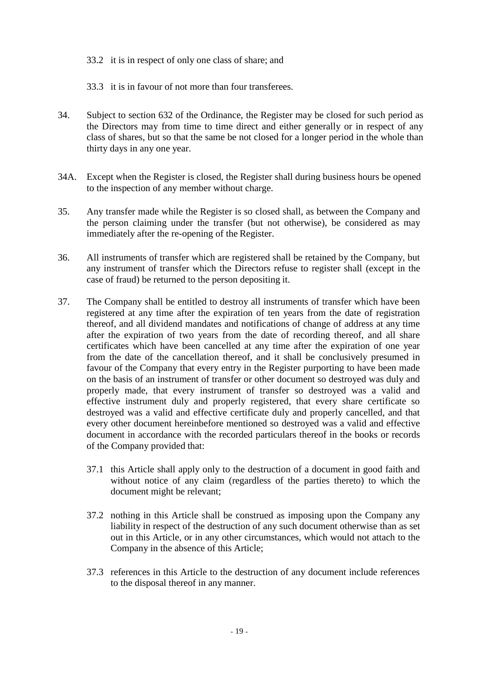33.2 it is in respect of only one class of share; and

33.3 it is in favour of not more than four transferees.

- 34. Subject to section 632 of the Ordinance, the Register may be closed for such period as the Directors may from time to time direct and either generally or in respect of any class of shares, but so that the same be not closed for a longer period in the whole than thirty days in any one year.
- 34A. Except when the Register is closed, the Register shall during business hours be opened to the inspection of any member without charge.
- 35. Any transfer made while the Register is so closed shall, as between the Company and the person claiming under the transfer (but not otherwise), be considered as may immediately after the re-opening of the Register.
- 36. All instruments of transfer which are registered shall be retained by the Company, but any instrument of transfer which the Directors refuse to register shall (except in the case of fraud) be returned to the person depositing it.
- 37. The Company shall be entitled to destroy all instruments of transfer which have been registered at any time after the expiration of ten years from the date of registration thereof, and all dividend mandates and notifications of change of address at any time after the expiration of two years from the date of recording thereof, and all share certificates which have been cancelled at any time after the expiration of one year from the date of the cancellation thereof, and it shall be conclusively presumed in favour of the Company that every entry in the Register purporting to have been made on the basis of an instrument of transfer or other document so destroyed was duly and properly made, that every instrument of transfer so destroyed was a valid and effective instrument duly and properly registered, that every share certificate so destroyed was a valid and effective certificate duly and properly cancelled, and that every other document hereinbefore mentioned so destroyed was a valid and effective document in accordance with the recorded particulars thereof in the books or records of the Company provided that:
	- 37.1 this Article shall apply only to the destruction of a document in good faith and without notice of any claim (regardless of the parties thereto) to which the document might be relevant;
	- 37.2 nothing in this Article shall be construed as imposing upon the Company any liability in respect of the destruction of any such document otherwise than as set out in this Article, or in any other circumstances, which would not attach to the Company in the absence of this Article;
	- 37.3 references in this Article to the destruction of any document include references to the disposal thereof in any manner.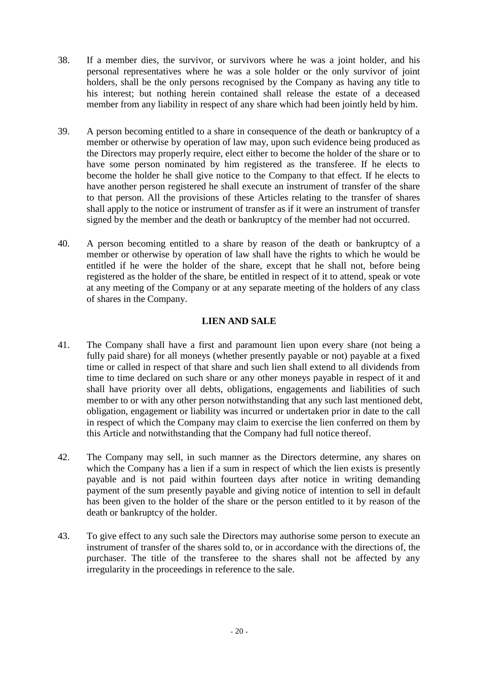- 38. If a member dies, the survivor, or survivors where he was a joint holder, and his personal representatives where he was a sole holder or the only survivor of joint holders, shall be the only persons recognised by the Company as having any title to his interest; but nothing herein contained shall release the estate of a deceased member from any liability in respect of any share which had been jointly held by him.
- 39. A person becoming entitled to a share in consequence of the death or bankruptcy of a member or otherwise by operation of law may, upon such evidence being produced as the Directors may properly require, elect either to become the holder of the share or to have some person nominated by him registered as the transferee. If he elects to become the holder he shall give notice to the Company to that effect. If he elects to have another person registered he shall execute an instrument of transfer of the share to that person. All the provisions of these Articles relating to the transfer of shares shall apply to the notice or instrument of transfer as if it were an instrument of transfer signed by the member and the death or bankruptcy of the member had not occurred.
- 40. A person becoming entitled to a share by reason of the death or bankruptcy of a member or otherwise by operation of law shall have the rights to which he would be entitled if he were the holder of the share, except that he shall not, before being registered as the holder of the share, be entitled in respect of it to attend, speak or vote at any meeting of the Company or at any separate meeting of the holders of any class of shares in the Company.

## **LIEN AND SALE**

- 41. The Company shall have a first and paramount lien upon every share (not being a fully paid share) for all moneys (whether presently payable or not) payable at a fixed time or called in respect of that share and such lien shall extend to all dividends from time to time declared on such share or any other moneys payable in respect of it and shall have priority over all debts, obligations, engagements and liabilities of such member to or with any other person notwithstanding that any such last mentioned debt, obligation, engagement or liability was incurred or undertaken prior in date to the call in respect of which the Company may claim to exercise the lien conferred on them by this Article and notwithstanding that the Company had full notice thereof.
- 42. The Company may sell, in such manner as the Directors determine, any shares on which the Company has a lien if a sum in respect of which the lien exists is presently payable and is not paid within fourteen days after notice in writing demanding payment of the sum presently payable and giving notice of intention to sell in default has been given to the holder of the share or the person entitled to it by reason of the death or bankruptcy of the holder.
- 43. To give effect to any such sale the Directors may authorise some person to execute an instrument of transfer of the shares sold to, or in accordance with the directions of, the purchaser. The title of the transferee to the shares shall not be affected by any irregularity in the proceedings in reference to the sale.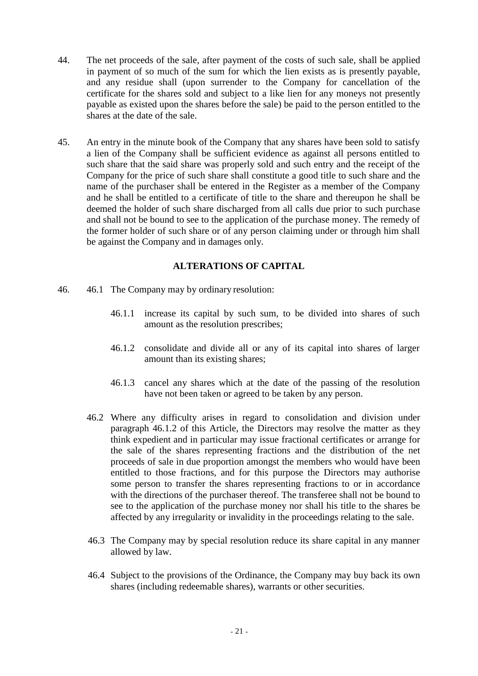- 44. The net proceeds of the sale, after payment of the costs of such sale, shall be applied in payment of so much of the sum for which the lien exists as is presently payable, and any residue shall (upon surrender to the Company for cancellation of the certificate for the shares sold and subject to a like lien for any moneys not presently payable as existed upon the shares before the sale) be paid to the person entitled to the shares at the date of the sale.
- 45. An entry in the minute book of the Company that any shares have been sold to satisfy a lien of the Company shall be sufficient evidence as against all persons entitled to such share that the said share was properly sold and such entry and the receipt of the Company for the price of such share shall constitute a good title to such share and the name of the purchaser shall be entered in the Register as a member of the Company and he shall be entitled to a certificate of title to the share and thereupon he shall be deemed the holder of such share discharged from all calls due prior to such purchase and shall not be bound to see to the application of the purchase money. The remedy of the former holder of such share or of any person claiming under or through him shall be against the Company and in damages only.

## **ALTERATIONS OF CAPITAL**

- 46. 46.1 The Company may by ordinary resolution:
	- 46.1.1 increase its capital by such sum, to be divided into shares of such amount as the resolution prescribes;
	- 46.1.2 consolidate and divide all or any of its capital into shares of larger amount than its existing shares;
	- 46.1.3 cancel any shares which at the date of the passing of the resolution have not been taken or agreed to be taken by any person.
	- 46.2 Where any difficulty arises in regard to consolidation and division under paragraph 46.1.2 of this Article, the Directors may resolve the matter as they think expedient and in particular may issue fractional certificates or arrange for the sale of the shares representing fractions and the distribution of the net proceeds of sale in due proportion amongst the members who would have been entitled to those fractions, and for this purpose the Directors may authorise some person to transfer the shares representing fractions to or in accordance with the directions of the purchaser thereof. The transferee shall not be bound to see to the application of the purchase money nor shall his title to the shares be affected by any irregularity or invalidity in the proceedings relating to the sale.
	- 46.3 The Company may by special resolution reduce its share capital in any manner allowed by law.
	- 46.4 Subject to the provisions of the Ordinance, the Company may buy back its own shares (including redeemable shares), warrants or other securities.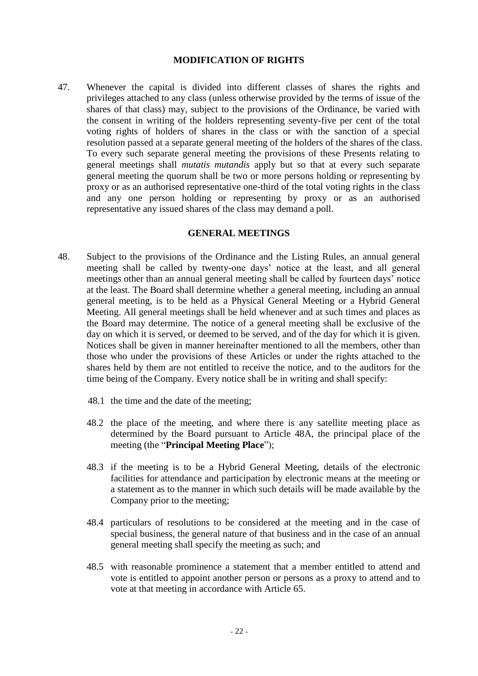### **MODIFICATION OF RIGHTS**

47. Whenever the capital is divided into different classes of shares the rights and privileges attached to any class (unless otherwise provided by the terms of issue of the shares of that class) may, subject to the provisions of the Ordinance, be varied with the consent in writing of the holders representing seventy-five per cent of the total voting rights of holders of shares in the class or with the sanction of a special resolution passed at a separate general meeting of the holders of the shares of the class. To every such separate general meeting the provisions of these Presents relating to general meetings shall *mutatis mutandis* apply but so that at every such separate general meeting the quorum shall be two or more persons holding or representing by proxy or as an authorised representative one-third of the total voting rights in the class and any one person holding or representing by proxy or as an authorised representative any issued shares of the class may demand a poll.

### **GENERAL MEETINGS**

- 48. Subject to the provisions of the Ordinance and the Listing Rules, an annual general meeting shall be called by twenty-one days' notice at the least, and all general meetings other than an annual general meeting shall be called by fourteen days' notice at the least. The Board shall determine whether a general meeting, including an annual general meeting, is to be held as a Physical General Meeting or a Hybrid General Meeting. All general meetings shall be held whenever and at such times and places as the Board may determine. The notice of a general meeting shall be exclusive of the day on which it is served, or deemed to be served, and of the day for which it is given. Notices shall be given in manner hereinafter mentioned to all the members, other than those who under the provisions of these Articles or under the rights attached to the shares held by them are not entitled to receive the notice, and to the auditors for the time being of the Company. Every notice shall be in writing and shall specify:
	- 48.1 the time and the date of the meeting;
	- 48.2 the place of the meeting, and where there is any satellite meeting place as determined by the Board pursuant to Article 48A, the principal place of the meeting (the "**Principal Meeting Place**");
	- 48.3 if the meeting is to be a Hybrid General Meeting, details of the electronic facilities for attendance and participation by electronic means at the meeting or a statement as to the manner in which such details will be made available by the Company prior to the meeting;
	- 48.4 particulars of resolutions to be considered at the meeting and in the case of special business, the general nature of that business and in the case of an annual general meeting shall specify the meeting as such; and
	- 48.5 with reasonable prominence a statement that a member entitled to attend and vote is entitled to appoint another person or persons as a proxy to attend and to vote at that meeting in accordance with Article 65.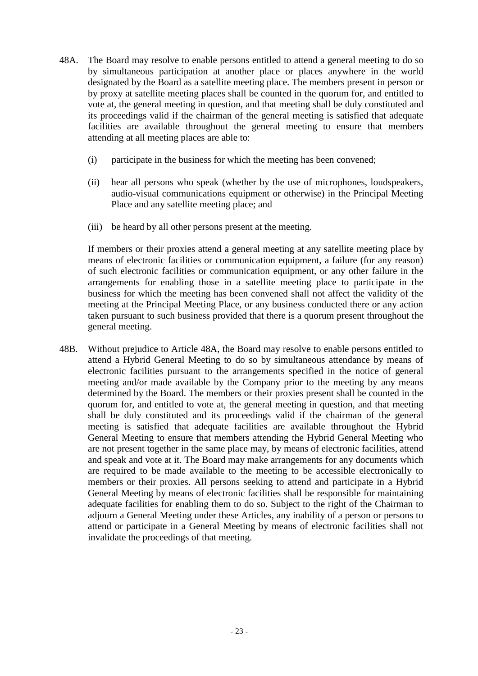- 48A. The Board may resolve to enable persons entitled to attend a general meeting to do so by simultaneous participation at another place or places anywhere in the world designated by the Board as a satellite meeting place. The members present in person or by proxy at satellite meeting places shall be counted in the quorum for, and entitled to vote at, the general meeting in question, and that meeting shall be duly constituted and its proceedings valid if the chairman of the general meeting is satisfied that adequate facilities are available throughout the general meeting to ensure that members attending at all meeting places are able to:
	- (i) participate in the business for which the meeting has been convened;
	- (ii) hear all persons who speak (whether by the use of microphones, loudspeakers, audio-visual communications equipment or otherwise) in the Principal Meeting Place and any satellite meeting place; and
	- (iii) be heard by all other persons present at the meeting.

If members or their proxies attend a general meeting at any satellite meeting place by means of electronic facilities or communication equipment, a failure (for any reason) of such electronic facilities or communication equipment, or any other failure in the arrangements for enabling those in a satellite meeting place to participate in the business for which the meeting has been convened shall not affect the validity of the meeting at the Principal Meeting Place, or any business conducted there or any action taken pursuant to such business provided that there is a quorum present throughout the general meeting.

48B. Without prejudice to Article 48A, the Board may resolve to enable persons entitled to attend a Hybrid General Meeting to do so by simultaneous attendance by means of electronic facilities pursuant to the arrangements specified in the notice of general meeting and/or made available by the Company prior to the meeting by any means determined by the Board. The members or their proxies present shall be counted in the quorum for, and entitled to vote at, the general meeting in question, and that meeting shall be duly constituted and its proceedings valid if the chairman of the general meeting is satisfied that adequate facilities are available throughout the Hybrid General Meeting to ensure that members attending the Hybrid General Meeting who are not present together in the same place may, by means of electronic facilities, attend and speak and vote at it. The Board may make arrangements for any documents which are required to be made available to the meeting to be accessible electronically to members or their proxies. All persons seeking to attend and participate in a Hybrid General Meeting by means of electronic facilities shall be responsible for maintaining adequate facilities for enabling them to do so. Subject to the right of the Chairman to adjourn a General Meeting under these Articles, any inability of a person or persons to attend or participate in a General Meeting by means of electronic facilities shall not invalidate the proceedings of that meeting.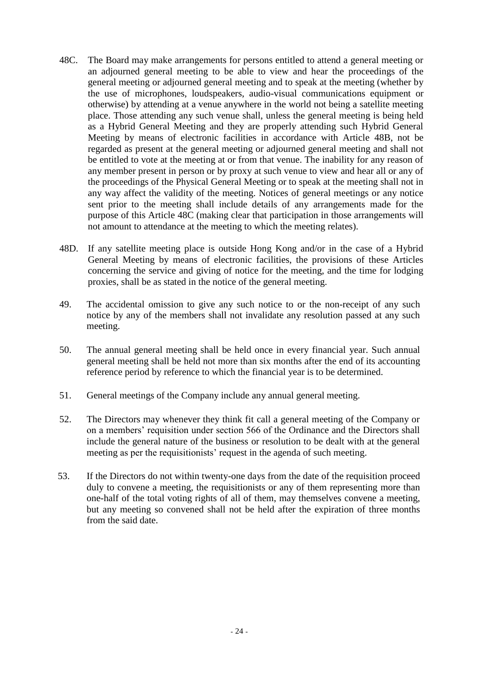- 48C. The Board may make arrangements for persons entitled to attend a general meeting or an adjourned general meeting to be able to view and hear the proceedings of the general meeting or adjourned general meeting and to speak at the meeting (whether by the use of microphones, loudspeakers, audio-visual communications equipment or otherwise) by attending at a venue anywhere in the world not being a satellite meeting place. Those attending any such venue shall, unless the general meeting is being held as a Hybrid General Meeting and they are properly attending such Hybrid General Meeting by means of electronic facilities in accordance with Article 48B, not be regarded as present at the general meeting or adjourned general meeting and shall not be entitled to vote at the meeting at or from that venue. The inability for any reason of any member present in person or by proxy at such venue to view and hear all or any of the proceedings of the Physical General Meeting or to speak at the meeting shall not in any way affect the validity of the meeting. Notices of general meetings or any notice sent prior to the meeting shall include details of any arrangements made for the purpose of this Article 48C (making clear that participation in those arrangements will not amount to attendance at the meeting to which the meeting relates).
- 48D. If any satellite meeting place is outside Hong Kong and/or in the case of a Hybrid General Meeting by means of electronic facilities, the provisions of these Articles concerning the service and giving of notice for the meeting, and the time for lodging proxies, shall be as stated in the notice of the general meeting.
- 49. The accidental omission to give any such notice to or the non-receipt of any such notice by any of the members shall not invalidate any resolution passed at any such meeting.
- 50. The annual general meeting shall be held once in every financial year. Such annual general meeting shall be held not more than six months after the end of its accounting reference period by reference to which the financial year is to be determined.
- 51. General meetings of the Company include any annual general meeting.
- 52. The Directors may whenever they think fit call a general meeting of the Company or on a members' requisition under section 566 of the Ordinance and the Directors shall include the general nature of the business or resolution to be dealt with at the general meeting as per the requisitionists' request in the agenda of such meeting.
- 53. If the Directors do not within twenty-one days from the date of the requisition proceed duly to convene a meeting, the requisitionists or any of them representing more than one-half of the total voting rights of all of them, may themselves convene a meeting, but any meeting so convened shall not be held after the expiration of three months from the said date.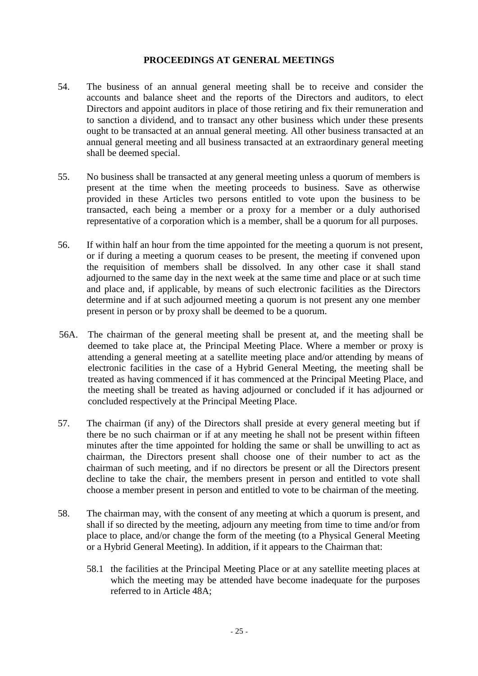### **PROCEEDINGS AT GENERAL MEETINGS**

- 54. The business of an annual general meeting shall be to receive and consider the accounts and balance sheet and the reports of the Directors and auditors, to elect Directors and appoint auditors in place of those retiring and fix their remuneration and to sanction a dividend, and to transact any other business which under these presents ought to be transacted at an annual general meeting. All other business transacted at an annual general meeting and all business transacted at an extraordinary general meeting shall be deemed special.
- 55. No business shall be transacted at any general meeting unless a quorum of members is present at the time when the meeting proceeds to business. Save as otherwise provided in these Articles two persons entitled to vote upon the business to be transacted, each being a member or a proxy for a member or a duly authorised representative of a corporation which is a member, shall be a quorum for all purposes.
- 56. If within half an hour from the time appointed for the meeting a quorum is not present, or if during a meeting a quorum ceases to be present, the meeting if convened upon the requisition of members shall be dissolved. In any other case it shall stand adjourned to the same day in the next week at the same time and place or at such time and place and, if applicable, by means of such electronic facilities as the Directors determine and if at such adjourned meeting a quorum is not present any one member present in person or by proxy shall be deemed to be a quorum.
- 56A. The chairman of the general meeting shall be present at, and the meeting shall be deemed to take place at, the Principal Meeting Place. Where a member or proxy is attending a general meeting at a satellite meeting place and/or attending by means of electronic facilities in the case of a Hybrid General Meeting, the meeting shall be treated as having commenced if it has commenced at the Principal Meeting Place, and the meeting shall be treated as having adjourned or concluded if it has adjourned or concluded respectively at the Principal Meeting Place.
- 57. The chairman (if any) of the Directors shall preside at every general meeting but if there be no such chairman or if at any meeting he shall not be present within fifteen minutes after the time appointed for holding the same or shall be unwilling to act as chairman, the Directors present shall choose one of their number to act as the chairman of such meeting, and if no directors be present or all the Directors present decline to take the chair, the members present in person and entitled to vote shall choose a member present in person and entitled to vote to be chairman of the meeting.
- 58. The chairman may, with the consent of any meeting at which a quorum is present, and shall if so directed by the meeting, adjourn any meeting from time to time and/or from place to place, and/or change the form of the meeting (to a Physical General Meeting or a Hybrid General Meeting). In addition, if it appears to the Chairman that:
	- 58.1 the facilities at the Principal Meeting Place or at any satellite meeting places at which the meeting may be attended have become inadequate for the purposes referred to in Article 48A;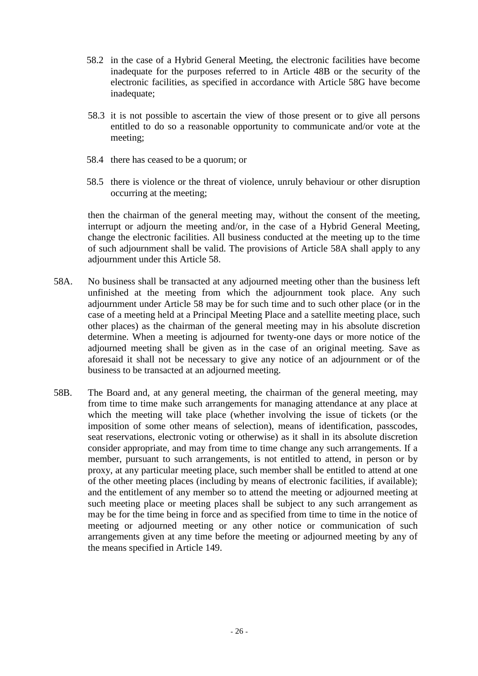- 58.2 in the case of a Hybrid General Meeting, the electronic facilities have become inadequate for the purposes referred to in Article 48B or the security of the electronic facilities, as specified in accordance with Article 58G have become inadequate;
- 58.3 it is not possible to ascertain the view of those present or to give all persons entitled to do so a reasonable opportunity to communicate and/or vote at the meeting;
- 58.4 there has ceased to be a quorum; or
- 58.5 there is violence or the threat of violence, unruly behaviour or other disruption occurring at the meeting;

then the chairman of the general meeting may, without the consent of the meeting, interrupt or adjourn the meeting and/or, in the case of a Hybrid General Meeting, change the electronic facilities. All business conducted at the meeting up to the time of such adjournment shall be valid. The provisions of Article 58A shall apply to any adjournment under this Article 58.

- 58A. No business shall be transacted at any adjourned meeting other than the business left unfinished at the meeting from which the adjournment took place. Any such adjournment under Article 58 may be for such time and to such other place (or in the case of a meeting held at a Principal Meeting Place and a satellite meeting place, such other places) as the chairman of the general meeting may in his absolute discretion determine. When a meeting is adjourned for twenty-one days or more notice of the adjourned meeting shall be given as in the case of an original meeting. Save as aforesaid it shall not be necessary to give any notice of an adjournment or of the business to be transacted at an adjourned meeting.
- 58B. The Board and, at any general meeting, the chairman of the general meeting, may from time to time make such arrangements for managing attendance at any place at which the meeting will take place (whether involving the issue of tickets (or the imposition of some other means of selection), means of identification, passcodes, seat reservations, electronic voting or otherwise) as it shall in its absolute discretion consider appropriate, and may from time to time change any such arrangements. If a member, pursuant to such arrangements, is not entitled to attend, in person or by proxy, at any particular meeting place, such member shall be entitled to attend at one of the other meeting places (including by means of electronic facilities, if available); and the entitlement of any member so to attend the meeting or adjourned meeting at such meeting place or meeting places shall be subject to any such arrangement as may be for the time being in force and as specified from time to time in the notice of meeting or adjourned meeting or any other notice or communication of such arrangements given at any time before the meeting or adjourned meeting by any of the means specified in Article 149.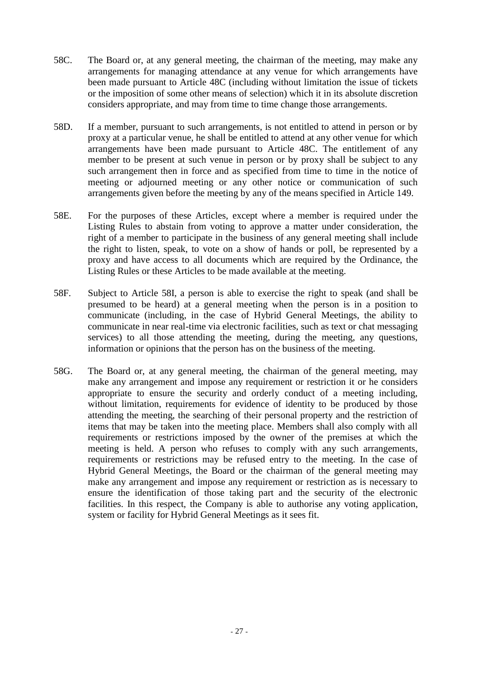- 58C. The Board or, at any general meeting, the chairman of the meeting, may make any arrangements for managing attendance at any venue for which arrangements have been made pursuant to Article 48C (including without limitation the issue of tickets or the imposition of some other means of selection) which it in its absolute discretion considers appropriate, and may from time to time change those arrangements.
- 58D. If a member, pursuant to such arrangements, is not entitled to attend in person or by proxy at a particular venue, he shall be entitled to attend at any other venue for which arrangements have been made pursuant to Article 48C. The entitlement of any member to be present at such venue in person or by proxy shall be subject to any such arrangement then in force and as specified from time to time in the notice of meeting or adjourned meeting or any other notice or communication of such arrangements given before the meeting by any of the means specified in Article 149.
- 58E. For the purposes of these Articles, except where a member is required under the Listing Rules to abstain from voting to approve a matter under consideration, the right of a member to participate in the business of any general meeting shall include the right to listen, speak, to vote on a show of hands or poll, be represented by a proxy and have access to all documents which are required by the Ordinance, the Listing Rules or these Articles to be made available at the meeting.
- 58F. Subject to Article 58I, a person is able to exercise the right to speak (and shall be presumed to be heard) at a general meeting when the person is in a position to communicate (including, in the case of Hybrid General Meetings, the ability to communicate in near real-time via electronic facilities, such as text or chat messaging services) to all those attending the meeting, during the meeting, any questions, information or opinions that the person has on the business of the meeting.
- 58G. The Board or, at any general meeting, the chairman of the general meeting, may make any arrangement and impose any requirement or restriction it or he considers appropriate to ensure the security and orderly conduct of a meeting including, without limitation, requirements for evidence of identity to be produced by those attending the meeting, the searching of their personal property and the restriction of items that may be taken into the meeting place. Members shall also comply with all requirements or restrictions imposed by the owner of the premises at which the meeting is held. A person who refuses to comply with any such arrangements, requirements or restrictions may be refused entry to the meeting. In the case of Hybrid General Meetings, the Board or the chairman of the general meeting may make any arrangement and impose any requirement or restriction as is necessary to ensure the identification of those taking part and the security of the electronic facilities. In this respect, the Company is able to authorise any voting application, system or facility for Hybrid General Meetings as it sees fit.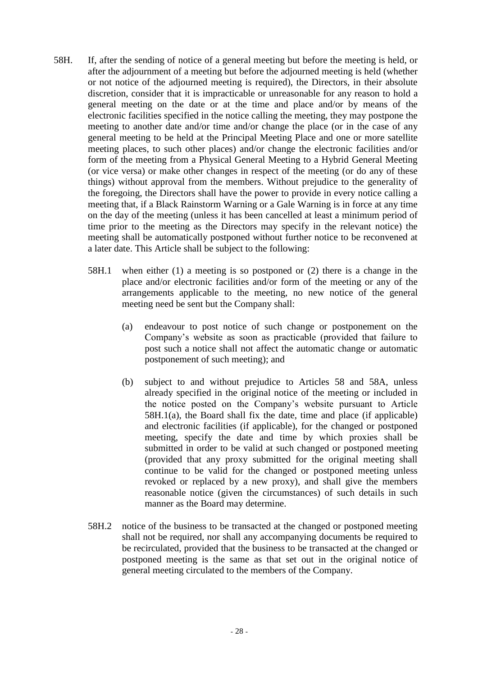- 58H. If, after the sending of notice of a general meeting but before the meeting is held, or after the adjournment of a meeting but before the adjourned meeting is held (whether or not notice of the adjourned meeting is required), the Directors, in their absolute discretion, consider that it is impracticable or unreasonable for any reason to hold a general meeting on the date or at the time and place and/or by means of the electronic facilities specified in the notice calling the meeting, they may postpone the meeting to another date and/or time and/or change the place (or in the case of any general meeting to be held at the Principal Meeting Place and one or more satellite meeting places, to such other places) and/or change the electronic facilities and/or form of the meeting from a Physical General Meeting to a Hybrid General Meeting (or vice versa) or make other changes in respect of the meeting (or do any of these things) without approval from the members. Without prejudice to the generality of the foregoing, the Directors shall have the power to provide in every notice calling a meeting that, if a Black Rainstorm Warning or a Gale Warning is in force at any time on the day of the meeting (unless it has been cancelled at least a minimum period of time prior to the meeting as the Directors may specify in the relevant notice) the meeting shall be automatically postponed without further notice to be reconvened at a later date. This Article shall be subject to the following:
	- 58H.1 when either (1) a meeting is so postponed or (2) there is a change in the place and/or electronic facilities and/or form of the meeting or any of the arrangements applicable to the meeting, no new notice of the general meeting need be sent but the Company shall:
		- (a) endeavour to post notice of such change or postponement on the Company's website as soon as practicable (provided that failure to post such a notice shall not affect the automatic change or automatic postponement of such meeting); and
		- (b) subject to and without prejudice to Articles 58 and 58A, unless already specified in the original notice of the meeting or included in the notice posted on the Company's website pursuant to Article 58H.1(a), the Board shall fix the date, time and place (if applicable) and electronic facilities (if applicable), for the changed or postponed meeting, specify the date and time by which proxies shall be submitted in order to be valid at such changed or postponed meeting (provided that any proxy submitted for the original meeting shall continue to be valid for the changed or postponed meeting unless revoked or replaced by a new proxy), and shall give the members reasonable notice (given the circumstances) of such details in such manner as the Board may determine.
	- 58H.2 notice of the business to be transacted at the changed or postponed meeting shall not be required, nor shall any accompanying documents be required to be recirculated, provided that the business to be transacted at the changed or postponed meeting is the same as that set out in the original notice of general meeting circulated to the members of the Company.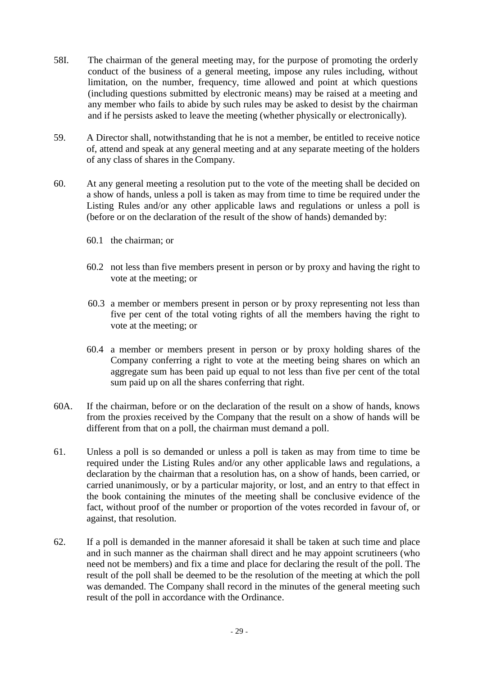- 58I. The chairman of the general meeting may, for the purpose of promoting the orderly conduct of the business of a general meeting, impose any rules including, without limitation, on the number, frequency, time allowed and point at which questions (including questions submitted by electronic means) may be raised at a meeting and any member who fails to abide by such rules may be asked to desist by the chairman and if he persists asked to leave the meeting (whether physically or electronically).
- 59. A Director shall, notwithstanding that he is not a member, be entitled to receive notice of, attend and speak at any general meeting and at any separate meeting of the holders of any class of shares in the Company.
- 60. At any general meeting a resolution put to the vote of the meeting shall be decided on a show of hands, unless a poll is taken as may from time to time be required under the Listing Rules and/or any other applicable laws and regulations or unless a poll is (before or on the declaration of the result of the show of hands) demanded by:
	- 60.1 the chairman; or
	- 60.2 not less than five members present in person or by proxy and having the right to vote at the meeting; or
	- 60.3 a member or members present in person or by proxy representing not less than five per cent of the total voting rights of all the members having the right to vote at the meeting; or
	- 60.4 a member or members present in person or by proxy holding shares of the Company conferring a right to vote at the meeting being shares on which an aggregate sum has been paid up equal to not less than five per cent of the total sum paid up on all the shares conferring that right.
- 60A. If the chairman, before or on the declaration of the result on a show of hands, knows from the proxies received by the Company that the result on a show of hands will be different from that on a poll, the chairman must demand a poll.
- 61. Unless a poll is so demanded or unless a poll is taken as may from time to time be required under the Listing Rules and/or any other applicable laws and regulations, a declaration by the chairman that a resolution has, on a show of hands, been carried, or carried unanimously, or by a particular majority, or lost, and an entry to that effect in the book containing the minutes of the meeting shall be conclusive evidence of the fact, without proof of the number or proportion of the votes recorded in favour of, or against, that resolution.
- 62. If a poll is demanded in the manner aforesaid it shall be taken at such time and place and in such manner as the chairman shall direct and he may appoint scrutineers (who need not be members) and fix a time and place for declaring the result of the poll. The result of the poll shall be deemed to be the resolution of the meeting at which the poll was demanded. The Company shall record in the minutes of the general meeting such result of the poll in accordance with the Ordinance.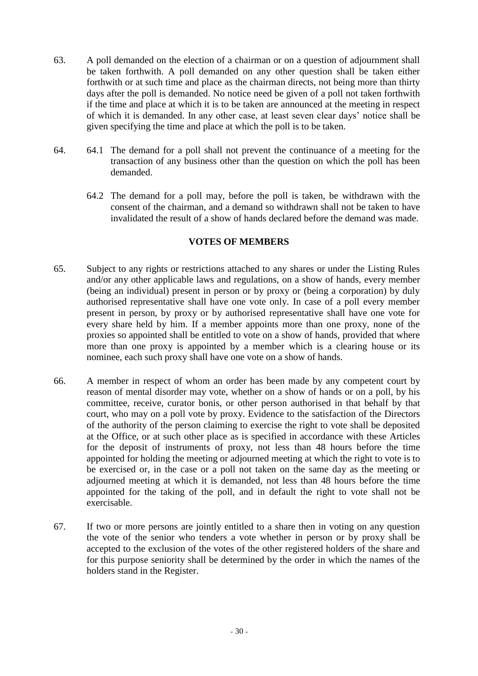- 63. A poll demanded on the election of a chairman or on a question of adjournment shall be taken forthwith. A poll demanded on any other question shall be taken either forthwith or at such time and place as the chairman directs, not being more than thirty days after the poll is demanded. No notice need be given of a poll not taken forthwith if the time and place at which it is to be taken are announced at the meeting in respect of which it is demanded. In any other case, at least seven clear days' notice shall be given specifying the time and place at which the poll is to be taken.
- 64. 64.1 The demand for a poll shall not prevent the continuance of a meeting for the transaction of any business other than the question on which the poll has been demanded.
	- 64.2 The demand for a poll may, before the poll is taken, be withdrawn with the consent of the chairman, and a demand so withdrawn shall not be taken to have invalidated the result of a show of hands declared before the demand was made.

### **VOTES OF MEMBERS**

- 65. Subject to any rights or restrictions attached to any shares or under the Listing Rules and/or any other applicable laws and regulations, on a show of hands, every member (being an individual) present in person or by proxy or (being a corporation) by duly authorised representative shall have one vote only. In case of a poll every member present in person, by proxy or by authorised representative shall have one vote for every share held by him. If a member appoints more than one proxy, none of the proxies so appointed shall be entitled to vote on a show of hands, provided that where more than one proxy is appointed by a member which is a clearing house or its nominee, each such proxy shall have one vote on a show of hands.
- 66. A member in respect of whom an order has been made by any competent court by reason of mental disorder may vote, whether on a show of hands or on a poll, by his committee, receive, curator bonis, or other person authorised in that behalf by that court, who may on a poll vote by proxy. Evidence to the satisfaction of the Directors of the authority of the person claiming to exercise the right to vote shall be deposited at the Office, or at such other place as is specified in accordance with these Articles for the deposit of instruments of proxy, not less than 48 hours before the time appointed for holding the meeting or adjourned meeting at which the right to vote is to be exercised or, in the case or a poll not taken on the same day as the meeting or adjourned meeting at which it is demanded, not less than 48 hours before the time appointed for the taking of the poll, and in default the right to vote shall not be exercisable.
- 67. If two or more persons are jointly entitled to a share then in voting on any question the vote of the senior who tenders a vote whether in person or by proxy shall be accepted to the exclusion of the votes of the other registered holders of the share and for this purpose seniority shall be determined by the order in which the names of the holders stand in the Register.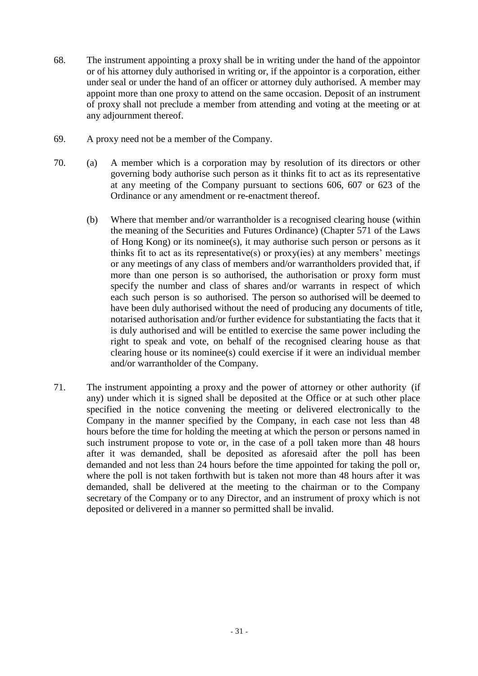- 68. The instrument appointing a proxy shall be in writing under the hand of the appointor or of his attorney duly authorised in writing or, if the appointor is a corporation, either under seal or under the hand of an officer or attorney duly authorised. A member may appoint more than one proxy to attend on the same occasion. Deposit of an instrument of proxy shall not preclude a member from attending and voting at the meeting or at any adjournment thereof.
- 69. A proxy need not be a member of the Company.
- 70. (a) A member which is a corporation may by resolution of its directors or other governing body authorise such person as it thinks fit to act as its representative at any meeting of the Company pursuant to sections 606, 607 or 623 of the Ordinance or any amendment or re-enactment thereof.
	- (b) Where that member and/or warrantholder is a recognised clearing house (within the meaning of the Securities and Futures Ordinance) (Chapter 571 of the Laws of Hong Kong) or its nominee(s), it may authorise such person or persons as it thinks fit to act as its representative(s) or proxy(ies) at any members' meetings or any meetings of any class of members and/or warrantholders provided that, if more than one person is so authorised, the authorisation or proxy form must specify the number and class of shares and/or warrants in respect of which each such person is so authorised. The person so authorised will be deemed to have been duly authorised without the need of producing any documents of title, notarised authorisation and/or further evidence for substantiating the facts that it is duly authorised and will be entitled to exercise the same power including the right to speak and vote, on behalf of the recognised clearing house as that clearing house or its nominee(s) could exercise if it were an individual member and/or warrantholder of the Company.
- 71. The instrument appointing a proxy and the power of attorney or other authority (if any) under which it is signed shall be deposited at the Office or at such other place specified in the notice convening the meeting or delivered electronically to the Company in the manner specified by the Company, in each case not less than 48 hours before the time for holding the meeting at which the person or persons named in such instrument propose to vote or, in the case of a poll taken more than 48 hours after it was demanded, shall be deposited as aforesaid after the poll has been demanded and not less than 24 hours before the time appointed for taking the poll or, where the poll is not taken forthwith but is taken not more than 48 hours after it was demanded, shall be delivered at the meeting to the chairman or to the Company secretary of the Company or to any Director, and an instrument of proxy which is not deposited or delivered in a manner so permitted shall be invalid.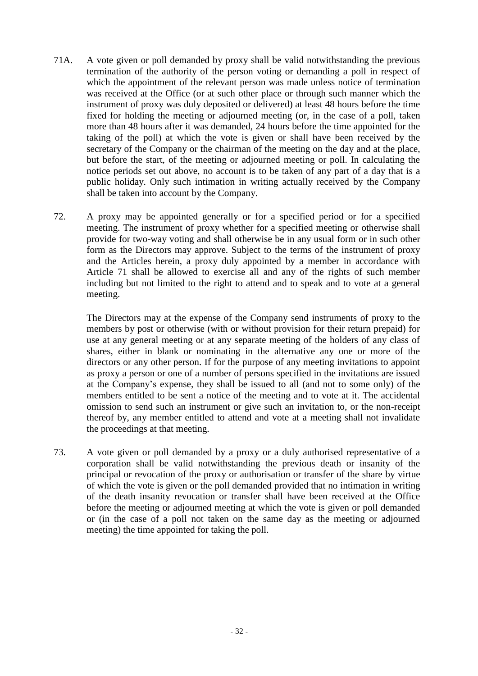- 71A. A vote given or poll demanded by proxy shall be valid notwithstanding the previous termination of the authority of the person voting or demanding a poll in respect of which the appointment of the relevant person was made unless notice of termination was received at the Office (or at such other place or through such manner which the instrument of proxy was duly deposited or delivered) at least 48 hours before the time fixed for holding the meeting or adjourned meeting (or, in the case of a poll, taken more than 48 hours after it was demanded, 24 hours before the time appointed for the taking of the poll) at which the vote is given or shall have been received by the secretary of the Company or the chairman of the meeting on the day and at the place, but before the start, of the meeting or adjourned meeting or poll. In calculating the notice periods set out above, no account is to be taken of any part of a day that is a public holiday. Only such intimation in writing actually received by the Company shall be taken into account by the Company.
- 72. A proxy may be appointed generally or for a specified period or for a specified meeting. The instrument of proxy whether for a specified meeting or otherwise shall provide for two-way voting and shall otherwise be in any usual form or in such other form as the Directors may approve. Subject to the terms of the instrument of proxy and the Articles herein, a proxy duly appointed by a member in accordance with Article 71 shall be allowed to exercise all and any of the rights of such member including but not limited to the right to attend and to speak and to vote at a general meeting.

The Directors may at the expense of the Company send instruments of proxy to the members by post or otherwise (with or without provision for their return prepaid) for use at any general meeting or at any separate meeting of the holders of any class of shares, either in blank or nominating in the alternative any one or more of the directors or any other person. If for the purpose of any meeting invitations to appoint as proxy a person or one of a number of persons specified in the invitations are issued at the Company's expense, they shall be issued to all (and not to some only) of the members entitled to be sent a notice of the meeting and to vote at it. The accidental omission to send such an instrument or give such an invitation to, or the non-receipt thereof by, any member entitled to attend and vote at a meeting shall not invalidate the proceedings at that meeting.

73. A vote given or poll demanded by a proxy or a duly authorised representative of a corporation shall be valid notwithstanding the previous death or insanity of the principal or revocation of the proxy or authorisation or transfer of the share by virtue of which the vote is given or the poll demanded provided that no intimation in writing of the death insanity revocation or transfer shall have been received at the Office before the meeting or adjourned meeting at which the vote is given or poll demanded or (in the case of a poll not taken on the same day as the meeting or adjourned meeting) the time appointed for taking the poll.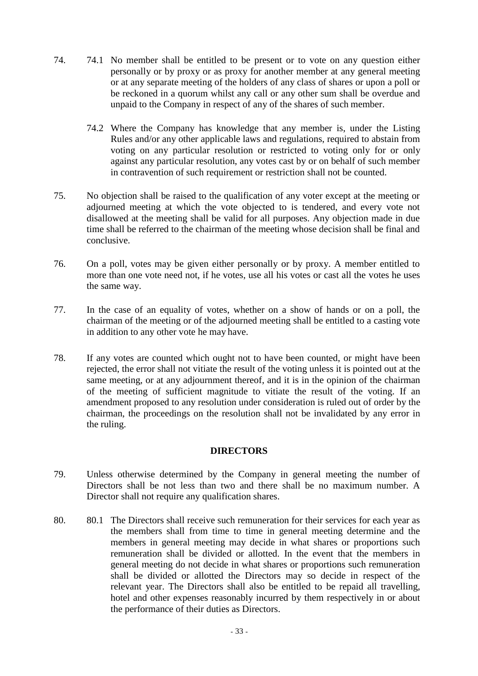- 74. 74.1 No member shall be entitled to be present or to vote on any question either personally or by proxy or as proxy for another member at any general meeting or at any separate meeting of the holders of any class of shares or upon a poll or be reckoned in a quorum whilst any call or any other sum shall be overdue and unpaid to the Company in respect of any of the shares of such member.
	- 74.2 Where the Company has knowledge that any member is, under the Listing Rules and/or any other applicable laws and regulations, required to abstain from voting on any particular resolution or restricted to voting only for or only against any particular resolution, any votes cast by or on behalf of such member in contravention of such requirement or restriction shall not be counted.
- 75. No objection shall be raised to the qualification of any voter except at the meeting or adjourned meeting at which the vote objected to is tendered, and every vote not disallowed at the meeting shall be valid for all purposes. Any objection made in due time shall be referred to the chairman of the meeting whose decision shall be final and conclusive.
- 76. On a poll, votes may be given either personally or by proxy. A member entitled to more than one vote need not, if he votes, use all his votes or cast all the votes he uses the same way.
- 77. In the case of an equality of votes, whether on a show of hands or on a poll, the chairman of the meeting or of the adjourned meeting shall be entitled to a casting vote in addition to any other vote he may have.
- 78. If any votes are counted which ought not to have been counted, or might have been rejected, the error shall not vitiate the result of the voting unless it is pointed out at the same meeting, or at any adjournment thereof, and it is in the opinion of the chairman of the meeting of sufficient magnitude to vitiate the result of the voting. If an amendment proposed to any resolution under consideration is ruled out of order by the chairman, the proceedings on the resolution shall not be invalidated by any error in the ruling.

## **DIRECTORS**

- 79. Unless otherwise determined by the Company in general meeting the number of Directors shall be not less than two and there shall be no maximum number. A Director shall not require any qualification shares.
- 80. 80.1 The Directors shall receive such remuneration for their services for each year as the members shall from time to time in general meeting determine and the members in general meeting may decide in what shares or proportions such remuneration shall be divided or allotted. In the event that the members in general meeting do not decide in what shares or proportions such remuneration shall be divided or allotted the Directors may so decide in respect of the relevant year. The Directors shall also be entitled to be repaid all travelling, hotel and other expenses reasonably incurred by them respectively in or about the performance of their duties as Directors.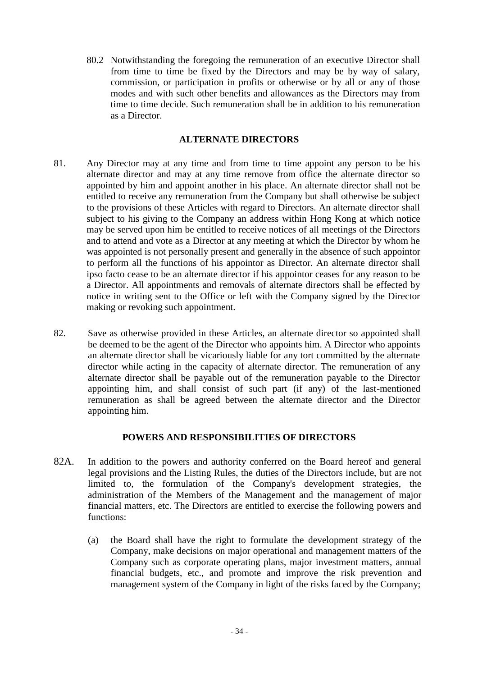80.2 Notwithstanding the foregoing the remuneration of an executive Director shall from time to time be fixed by the Directors and may be by way of salary, commission, or participation in profits or otherwise or by all or any of those modes and with such other benefits and allowances as the Directors may from time to time decide. Such remuneration shall be in addition to his remuneration as a Director.

### **ALTERNATE DIRECTORS**

- 81. Any Director may at any time and from time to time appoint any person to be his alternate director and may at any time remove from office the alternate director so appointed by him and appoint another in his place. An alternate director shall not be entitled to receive any remuneration from the Company but shall otherwise be subject to the provisions of these Articles with regard to Directors. An alternate director shall subject to his giving to the Company an address within Hong Kong at which notice may be served upon him be entitled to receive notices of all meetings of the Directors and to attend and vote as a Director at any meeting at which the Director by whom he was appointed is not personally present and generally in the absence of such appointor to perform all the functions of his appointor as Director. An alternate director shall ipso facto cease to be an alternate director if his appointor ceases for any reason to be a Director. All appointments and removals of alternate directors shall be effected by notice in writing sent to the Office or left with the Company signed by the Director making or revoking such appointment.
- 82. Save as otherwise provided in these Articles, an alternate director so appointed shall be deemed to be the agent of the Director who appoints him. A Director who appoints an alternate director shall be vicariously liable for any tort committed by the alternate director while acting in the capacity of alternate director. The remuneration of any alternate director shall be payable out of the remuneration payable to the Director appointing him, and shall consist of such part (if any) of the last-mentioned remuneration as shall be agreed between the alternate director and the Director appointing him.

## **POWERS AND RESPONSIBILITIES OF DIRECTORS**

- 82A. In addition to the powers and authority conferred on the Board hereof and general legal provisions and the Listing Rules, the duties of the Directors include, but are not limited to, the formulation of the Company's development strategies, the administration of the Members of the Management and the management of major financial matters, etc. The Directors are entitled to exercise the following powers and functions:
	- (a) the Board shall have the right to formulate the development strategy of the Company, make decisions on major operational and management matters of the Company such as corporate operating plans, major investment matters, annual financial budgets, etc., and promote and improve the risk prevention and management system of the Company in light of the risks faced by the Company;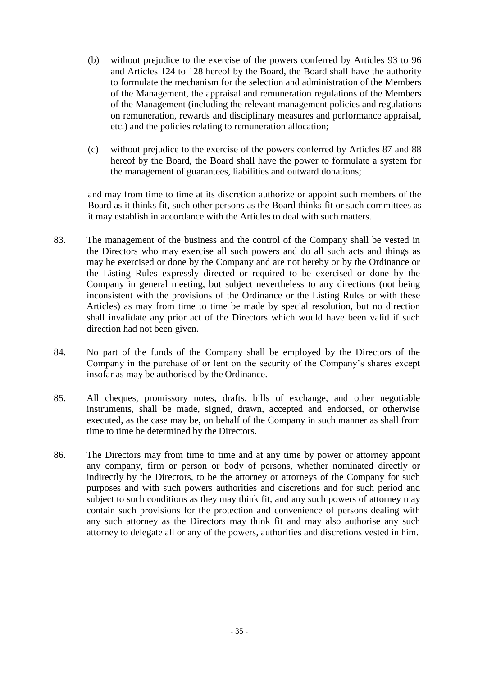- (b) without prejudice to the exercise of the powers conferred by Articles 93 to 96 and Articles 124 to 128 hereof by the Board, the Board shall have the authority to formulate the mechanism for the selection and administration of the Members of the Management, the appraisal and remuneration regulations of the Members of the Management (including the relevant management policies and regulations on remuneration, rewards and disciplinary measures and performance appraisal, etc.) and the policies relating to remuneration allocation;
- (c) without prejudice to the exercise of the powers conferred by Articles 87 and 88 hereof by the Board, the Board shall have the power to formulate a system for the management of guarantees, liabilities and outward donations;

and may from time to time at its discretion authorize or appoint such members of the Board as it thinks fit, such other persons as the Board thinks fit or such committees as it may establish in accordance with the Articles to deal with such matters.

- 83. The management of the business and the control of the Company shall be vested in the Directors who may exercise all such powers and do all such acts and things as may be exercised or done by the Company and are not hereby or by the Ordinance or the Listing Rules expressly directed or required to be exercised or done by the Company in general meeting, but subject nevertheless to any directions (not being inconsistent with the provisions of the Ordinance or the Listing Rules or with these Articles) as may from time to time be made by special resolution, but no direction shall invalidate any prior act of the Directors which would have been valid if such direction had not been given.
- 84. No part of the funds of the Company shall be employed by the Directors of the Company in the purchase of or lent on the security of the Company's shares except insofar as may be authorised by the Ordinance.
- 85. All cheques, promissory notes, drafts, bills of exchange, and other negotiable instruments, shall be made, signed, drawn, accepted and endorsed, or otherwise executed, as the case may be, on behalf of the Company in such manner as shall from time to time be determined by the Directors.
- 86. The Directors may from time to time and at any time by power or attorney appoint any company, firm or person or body of persons, whether nominated directly or indirectly by the Directors, to be the attorney or attorneys of the Company for such purposes and with such powers authorities and discretions and for such period and subject to such conditions as they may think fit, and any such powers of attorney may contain such provisions for the protection and convenience of persons dealing with any such attorney as the Directors may think fit and may also authorise any such attorney to delegate all or any of the powers, authorities and discretions vested in him.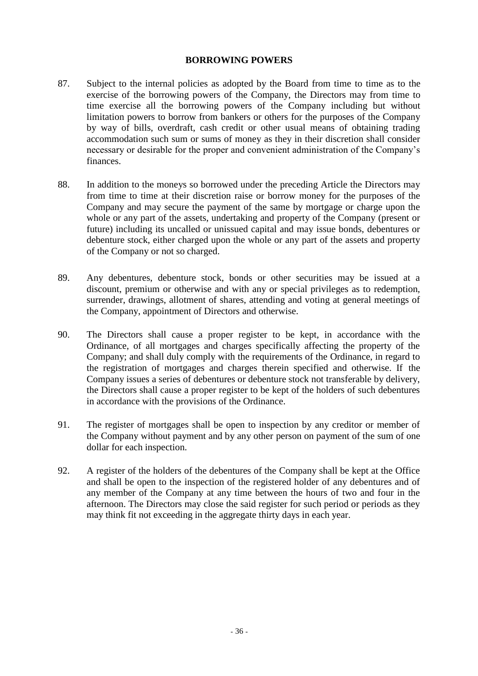### **BORROWING POWERS**

- 87. Subject to the internal policies as adopted by the Board from time to time as to the exercise of the borrowing powers of the Company, the Directors may from time to time exercise all the borrowing powers of the Company including but without limitation powers to borrow from bankers or others for the purposes of the Company by way of bills, overdraft, cash credit or other usual means of obtaining trading accommodation such sum or sums of money as they in their discretion shall consider necessary or desirable for the proper and convenient administration of the Company's finances.
- 88. In addition to the moneys so borrowed under the preceding Article the Directors may from time to time at their discretion raise or borrow money for the purposes of the Company and may secure the payment of the same by mortgage or charge upon the whole or any part of the assets, undertaking and property of the Company (present or future) including its uncalled or unissued capital and may issue bonds, debentures or debenture stock, either charged upon the whole or any part of the assets and property of the Company or not so charged.
- 89. Any debentures, debenture stock, bonds or other securities may be issued at a discount, premium or otherwise and with any or special privileges as to redemption, surrender, drawings, allotment of shares, attending and voting at general meetings of the Company, appointment of Directors and otherwise.
- 90. The Directors shall cause a proper register to be kept, in accordance with the Ordinance, of all mortgages and charges specifically affecting the property of the Company; and shall duly comply with the requirements of the Ordinance, in regard to the registration of mortgages and charges therein specified and otherwise. If the Company issues a series of debentures or debenture stock not transferable by delivery, the Directors shall cause a proper register to be kept of the holders of such debentures in accordance with the provisions of the Ordinance.
- 91. The register of mortgages shall be open to inspection by any creditor or member of the Company without payment and by any other person on payment of the sum of one dollar for each inspection.
- 92. A register of the holders of the debentures of the Company shall be kept at the Office and shall be open to the inspection of the registered holder of any debentures and of any member of the Company at any time between the hours of two and four in the afternoon. The Directors may close the said register for such period or periods as they may think fit not exceeding in the aggregate thirty days in each year.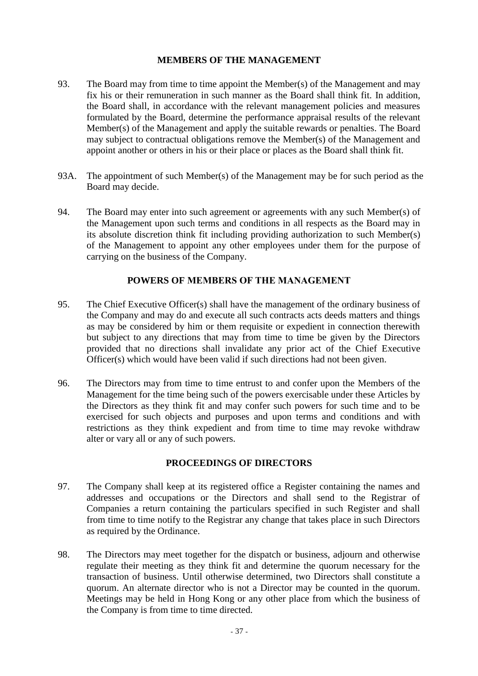### **MEMBERS OF THE MANAGEMENT**

- 93. The Board may from time to time appoint the Member(s) of the Management and may fix his or their remuneration in such manner as the Board shall think fit. In addition, the Board shall, in accordance with the relevant management policies and measures formulated by the Board, determine the performance appraisal results of the relevant Member(s) of the Management and apply the suitable rewards or penalties. The Board may subject to contractual obligations remove the Member(s) of the Management and appoint another or others in his or their place or places as the Board shall think fit.
- 93A. The appointment of such Member(s) of the Management may be for such period as the Board may decide.
- 94. The Board may enter into such agreement or agreements with any such Member(s) of the Management upon such terms and conditions in all respects as the Board may in its absolute discretion think fit including providing authorization to such Member(s) of the Management to appoint any other employees under them for the purpose of carrying on the business of the Company.

## **POWERS OF MEMBERS OF THE MANAGEMENT**

- 95. The Chief Executive Officer(s) shall have the management of the ordinary business of the Company and may do and execute all such contracts acts deeds matters and things as may be considered by him or them requisite or expedient in connection therewith but subject to any directions that may from time to time be given by the Directors provided that no directions shall invalidate any prior act of the Chief Executive Officer(s) which would have been valid if such directions had not been given.
- 96. The Directors may from time to time entrust to and confer upon the Members of the Management for the time being such of the powers exercisable under these Articles by the Directors as they think fit and may confer such powers for such time and to be exercised for such objects and purposes and upon terms and conditions and with restrictions as they think expedient and from time to time may revoke withdraw alter or vary all or any of such powers.

## **PROCEEDINGS OF DIRECTORS**

- 97. The Company shall keep at its registered office a Register containing the names and addresses and occupations or the Directors and shall send to the Registrar of Companies a return containing the particulars specified in such Register and shall from time to time notify to the Registrar any change that takes place in such Directors as required by the Ordinance.
- 98. The Directors may meet together for the dispatch or business, adjourn and otherwise regulate their meeting as they think fit and determine the quorum necessary for the transaction of business. Until otherwise determined, two Directors shall constitute a quorum. An alternate director who is not a Director may be counted in the quorum. Meetings may be held in Hong Kong or any other place from which the business of the Company is from time to time directed.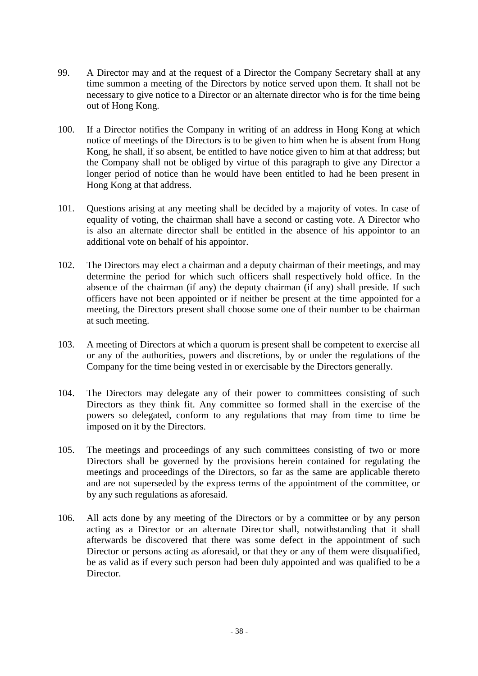- 99. A Director may and at the request of a Director the Company Secretary shall at any time summon a meeting of the Directors by notice served upon them. It shall not be necessary to give notice to a Director or an alternate director who is for the time being out of Hong Kong.
- 100. If a Director notifies the Company in writing of an address in Hong Kong at which notice of meetings of the Directors is to be given to him when he is absent from Hong Kong, he shall, if so absent, be entitled to have notice given to him at that address; but the Company shall not be obliged by virtue of this paragraph to give any Director a longer period of notice than he would have been entitled to had he been present in Hong Kong at that address.
- 101. Questions arising at any meeting shall be decided by a majority of votes. In case of equality of voting, the chairman shall have a second or casting vote. A Director who is also an alternate director shall be entitled in the absence of his appointor to an additional vote on behalf of his appointor.
- 102. The Directors may elect a chairman and a deputy chairman of their meetings, and may determine the period for which such officers shall respectively hold office. In the absence of the chairman (if any) the deputy chairman (if any) shall preside. If such officers have not been appointed or if neither be present at the time appointed for a meeting, the Directors present shall choose some one of their number to be chairman at such meeting.
- 103. A meeting of Directors at which a quorum is present shall be competent to exercise all or any of the authorities, powers and discretions, by or under the regulations of the Company for the time being vested in or exercisable by the Directors generally.
- 104. The Directors may delegate any of their power to committees consisting of such Directors as they think fit. Any committee so formed shall in the exercise of the powers so delegated, conform to any regulations that may from time to time be imposed on it by the Directors.
- 105. The meetings and proceedings of any such committees consisting of two or more Directors shall be governed by the provisions herein contained for regulating the meetings and proceedings of the Directors, so far as the same are applicable thereto and are not superseded by the express terms of the appointment of the committee, or by any such regulations as aforesaid.
- 106. All acts done by any meeting of the Directors or by a committee or by any person acting as a Director or an alternate Director shall, notwithstanding that it shall afterwards be discovered that there was some defect in the appointment of such Director or persons acting as aforesaid, or that they or any of them were disqualified, be as valid as if every such person had been duly appointed and was qualified to be a Director.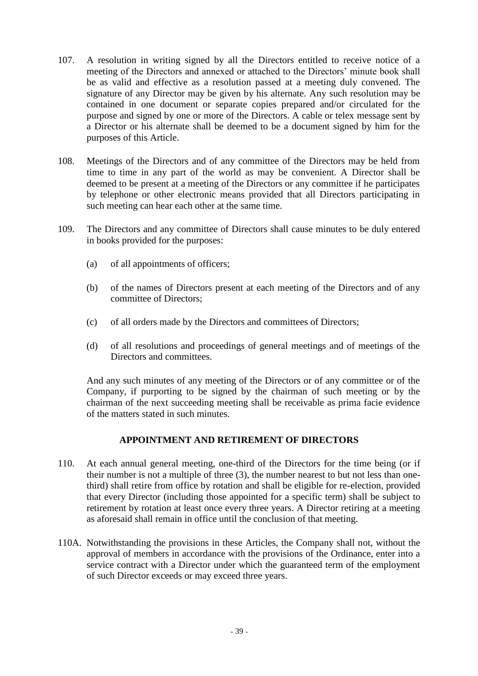- 107. A resolution in writing signed by all the Directors entitled to receive notice of a meeting of the Directors and annexed or attached to the Directors' minute book shall be as valid and effective as a resolution passed at a meeting duly convened. The signature of any Director may be given by his alternate. Any such resolution may be contained in one document or separate copies prepared and/or circulated for the purpose and signed by one or more of the Directors. A cable or telex message sent by a Director or his alternate shall be deemed to be a document signed by him for the purposes of this Article.
- 108. Meetings of the Directors and of any committee of the Directors may be held from time to time in any part of the world as may be convenient. A Director shall be deemed to be present at a meeting of the Directors or any committee if he participates by telephone or other electronic means provided that all Directors participating in such meeting can hear each other at the same time.
- 109. The Directors and any committee of Directors shall cause minutes to be duly entered in books provided for the purposes:
	- (a) of all appointments of officers;
	- (b) of the names of Directors present at each meeting of the Directors and of any committee of Directors;
	- (c) of all orders made by the Directors and committees of Directors;
	- (d) of all resolutions and proceedings of general meetings and of meetings of the Directors and committees.

And any such minutes of any meeting of the Directors or of any committee or of the Company, if purporting to be signed by the chairman of such meeting or by the chairman of the next succeeding meeting shall be receivable as prima facie evidence of the matters stated in such minutes.

### **APPOINTMENT AND RETIREMENT OF DIRECTORS**

- 110. At each annual general meeting, one-third of the Directors for the time being (or if their number is not a multiple of three (3), the number nearest to but not less than onethird) shall retire from office by rotation and shall be eligible for re-election, provided that every Director (including those appointed for a specific term) shall be subject to retirement by rotation at least once every three years. A Director retiring at a meeting as aforesaid shall remain in office until the conclusion of that meeting.
- 110A. Notwithstanding the provisions in these Articles, the Company shall not, without the approval of members in accordance with the provisions of the Ordinance, enter into a service contract with a Director under which the guaranteed term of the employment of such Director exceeds or may exceed three years.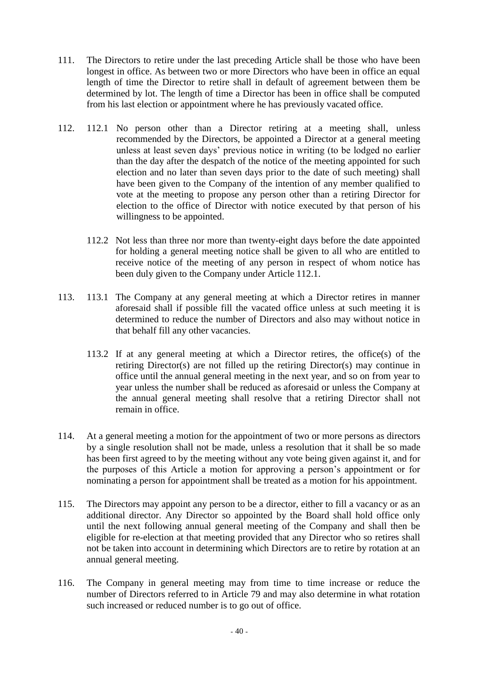- 111. The Directors to retire under the last preceding Article shall be those who have been longest in office. As between two or more Directors who have been in office an equal length of time the Director to retire shall in default of agreement between them be determined by lot. The length of time a Director has been in office shall be computed from his last election or appointment where he has previously vacated office.
- 112. 112.1 No person other than a Director retiring at a meeting shall, unless recommended by the Directors, be appointed a Director at a general meeting unless at least seven days' previous notice in writing (to be lodged no earlier than the day after the despatch of the notice of the meeting appointed for such election and no later than seven days prior to the date of such meeting) shall have been given to the Company of the intention of any member qualified to vote at the meeting to propose any person other than a retiring Director for election to the office of Director with notice executed by that person of his willingness to be appointed.
	- 112.2 Not less than three nor more than twenty-eight days before the date appointed for holding a general meeting notice shall be given to all who are entitled to receive notice of the meeting of any person in respect of whom notice has been duly given to the Company under Article 112.1.
- 113. 113.1 The Company at any general meeting at which a Director retires in manner aforesaid shall if possible fill the vacated office unless at such meeting it is determined to reduce the number of Directors and also may without notice in that behalf fill any other vacancies.
	- 113.2 If at any general meeting at which a Director retires, the office(s) of the retiring Director(s) are not filled up the retiring Director(s) may continue in office until the annual general meeting in the next year, and so on from year to year unless the number shall be reduced as aforesaid or unless the Company at the annual general meeting shall resolve that a retiring Director shall not remain in office.
- 114. At a general meeting a motion for the appointment of two or more persons as directors by a single resolution shall not be made, unless a resolution that it shall be so made has been first agreed to by the meeting without any vote being given against it, and for the purposes of this Article a motion for approving a person's appointment or for nominating a person for appointment shall be treated as a motion for his appointment.
- 115. The Directors may appoint any person to be a director, either to fill a vacancy or as an additional director. Any Director so appointed by the Board shall hold office only until the next following annual general meeting of the Company and shall then be eligible for re-election at that meeting provided that any Director who so retires shall not be taken into account in determining which Directors are to retire by rotation at an annual general meeting.
- 116. The Company in general meeting may from time to time increase or reduce the number of Directors referred to in Article 79 and may also determine in what rotation such increased or reduced number is to go out of office.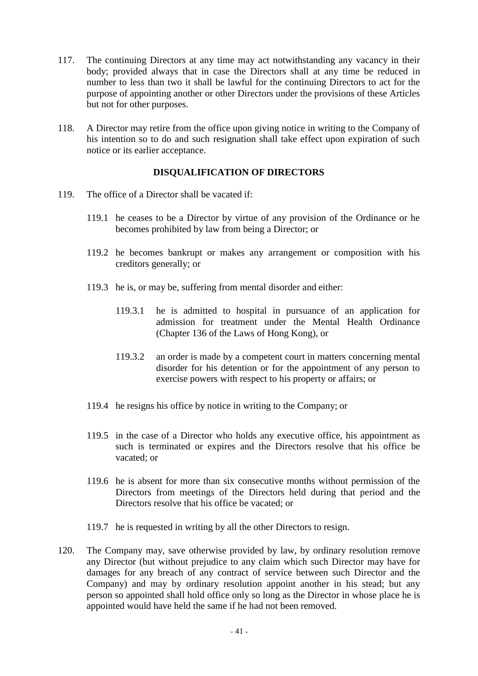- 117. The continuing Directors at any time may act notwithstanding any vacancy in their body; provided always that in case the Directors shall at any time be reduced in number to less than two it shall be lawful for the continuing Directors to act for the purpose of appointing another or other Directors under the provisions of these Articles but not for other purposes.
- 118. A Director may retire from the office upon giving notice in writing to the Company of his intention so to do and such resignation shall take effect upon expiration of such notice or its earlier acceptance.

## **DISQUALIFICATION OF DIRECTORS**

- 119. The office of a Director shall be vacated if:
	- 119.1 he ceases to be a Director by virtue of any provision of the Ordinance or he becomes prohibited by law from being a Director; or
	- 119.2 he becomes bankrupt or makes any arrangement or composition with his creditors generally; or
	- 119.3 he is, or may be, suffering from mental disorder and either:
		- 119.3.1 he is admitted to hospital in pursuance of an application for admission for treatment under the Mental Health Ordinance (Chapter 136 of the Laws of Hong Kong), or
		- 119.3.2 an order is made by a competent court in matters concerning mental disorder for his detention or for the appointment of any person to exercise powers with respect to his property or affairs; or
	- 119.4 he resigns his office by notice in writing to the Company; or
	- 119.5 in the case of a Director who holds any executive office, his appointment as such is terminated or expires and the Directors resolve that his office be vacated; or
	- 119.6 he is absent for more than six consecutive months without permission of the Directors from meetings of the Directors held during that period and the Directors resolve that his office be vacated; or
	- 119.7 he is requested in writing by all the other Directors to resign.
- 120. The Company may, save otherwise provided by law, by ordinary resolution remove any Director (but without prejudice to any claim which such Director may have for damages for any breach of any contract of service between such Director and the Company) and may by ordinary resolution appoint another in his stead; but any person so appointed shall hold office only so long as the Director in whose place he is appointed would have held the same if he had not been removed.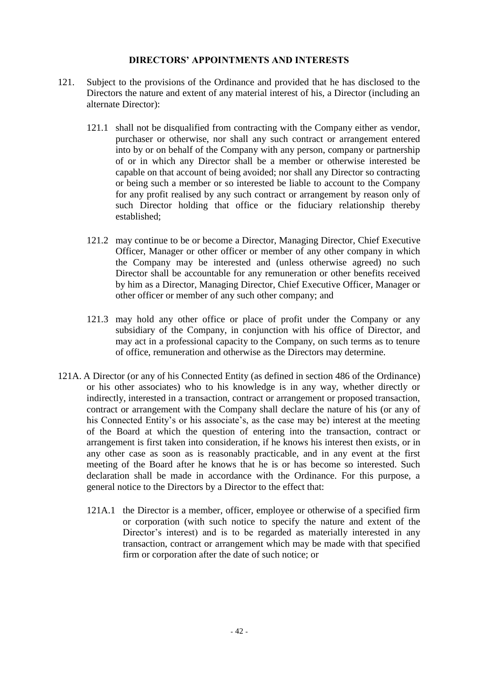### **DIRECTORS' APPOINTMENTS AND INTERESTS**

- 121. Subject to the provisions of the Ordinance and provided that he has disclosed to the Directors the nature and extent of any material interest of his, a Director (including an alternate Director):
	- 121.1 shall not be disqualified from contracting with the Company either as vendor, purchaser or otherwise, nor shall any such contract or arrangement entered into by or on behalf of the Company with any person, company or partnership of or in which any Director shall be a member or otherwise interested be capable on that account of being avoided; nor shall any Director so contracting or being such a member or so interested be liable to account to the Company for any profit realised by any such contract or arrangement by reason only of such Director holding that office or the fiduciary relationship thereby established;
	- 121.2 may continue to be or become a Director, Managing Director, Chief Executive Officer, Manager or other officer or member of any other company in which the Company may be interested and (unless otherwise agreed) no such Director shall be accountable for any remuneration or other benefits received by him as a Director, Managing Director, Chief Executive Officer, Manager or other officer or member of any such other company; and
	- 121.3 may hold any other office or place of profit under the Company or any subsidiary of the Company, in conjunction with his office of Director, and may act in a professional capacity to the Company, on such terms as to tenure of office, remuneration and otherwise as the Directors may determine.
- 121A. A Director (or any of his Connected Entity (as defined in section 486 of the Ordinance) or his other associates) who to his knowledge is in any way, whether directly or indirectly, interested in a transaction, contract or arrangement or proposed transaction, contract or arrangement with the Company shall declare the nature of his (or any of his Connected Entity's or his associate's, as the case may be) interest at the meeting of the Board at which the question of entering into the transaction, contract or arrangement is first taken into consideration, if he knows his interest then exists, or in any other case as soon as is reasonably practicable, and in any event at the first meeting of the Board after he knows that he is or has become so interested. Such declaration shall be made in accordance with the Ordinance. For this purpose, a general notice to the Directors by a Director to the effect that:
	- 121A.1 the Director is a member, officer, employee or otherwise of a specified firm or corporation (with such notice to specify the nature and extent of the Director's interest) and is to be regarded as materially interested in any transaction, contract or arrangement which may be made with that specified firm or corporation after the date of such notice; or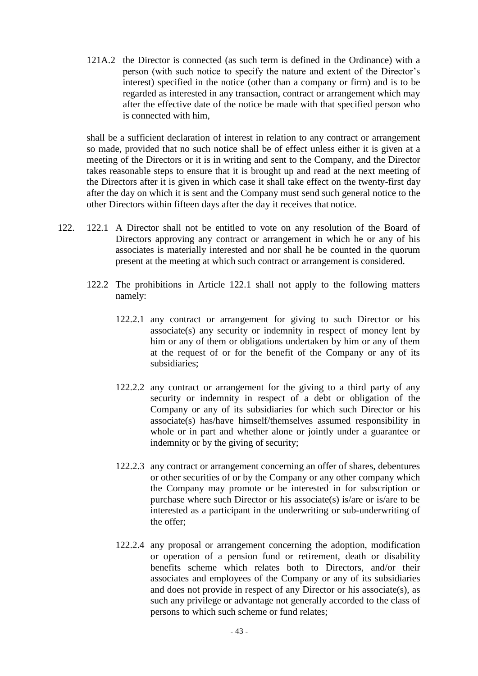121A.2 the Director is connected (as such term is defined in the Ordinance) with a person (with such notice to specify the nature and extent of the Director's interest) specified in the notice (other than a company or firm) and is to be regarded as interested in any transaction, contract or arrangement which may after the effective date of the notice be made with that specified person who is connected with him,

shall be a sufficient declaration of interest in relation to any contract or arrangement so made, provided that no such notice shall be of effect unless either it is given at a meeting of the Directors or it is in writing and sent to the Company, and the Director takes reasonable steps to ensure that it is brought up and read at the next meeting of the Directors after it is given in which case it shall take effect on the twenty-first day after the day on which it is sent and the Company must send such general notice to the other Directors within fifteen days after the day it receives that notice.

- 122. 122.1 A Director shall not be entitled to vote on any resolution of the Board of Directors approving any contract or arrangement in which he or any of his associates is materially interested and nor shall he be counted in the quorum present at the meeting at which such contract or arrangement is considered.
	- 122.2 The prohibitions in Article 122.1 shall not apply to the following matters namely:
		- 122.2.1 any contract or arrangement for giving to such Director or his associate(s) any security or indemnity in respect of money lent by him or any of them or obligations undertaken by him or any of them at the request of or for the benefit of the Company or any of its subsidiaries;
		- 122.2.2 any contract or arrangement for the giving to a third party of any security or indemnity in respect of a debt or obligation of the Company or any of its subsidiaries for which such Director or his associate(s) has/have himself/themselves assumed responsibility in whole or in part and whether alone or jointly under a guarantee or indemnity or by the giving of security;
		- 122.2.3 any contract or arrangement concerning an offer of shares, debentures or other securities of or by the Company or any other company which the Company may promote or be interested in for subscription or purchase where such Director or his associate(s) is/are or is/are to be interested as a participant in the underwriting or sub-underwriting of the offer;
		- 122.2.4 any proposal or arrangement concerning the adoption, modification or operation of a pension fund or retirement, death or disability benefits scheme which relates both to Directors, and/or their associates and employees of the Company or any of its subsidiaries and does not provide in respect of any Director or his associate(s), as such any privilege or advantage not generally accorded to the class of persons to which such scheme or fund relates;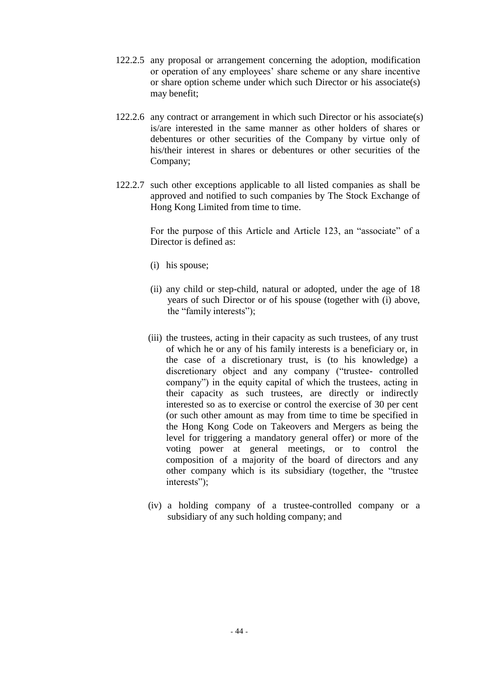- 122.2.5 any proposal or arrangement concerning the adoption, modification or operation of any employees' share scheme or any share incentive or share option scheme under which such Director or his associate(s) may benefit;
- 122.2.6 any contract or arrangement in which such Director or his associate(s) is/are interested in the same manner as other holders of shares or debentures or other securities of the Company by virtue only of his/their interest in shares or debentures or other securities of the Company;
- 122.2.7 such other exceptions applicable to all listed companies as shall be approved and notified to such companies by The Stock Exchange of Hong Kong Limited from time to time.

For the purpose of this Article and Article 123, an "associate" of a Director is defined as:

- (i) his spouse;
- (ii) any child or step-child, natural or adopted, under the age of 18 years of such Director or of his spouse (together with (i) above, the "family interests");
- (iii) the trustees, acting in their capacity as such trustees, of any trust of which he or any of his family interests is a beneficiary or, in the case of a discretionary trust, is (to his knowledge) a discretionary object and any company ("trustee- controlled company") in the equity capital of which the trustees, acting in their capacity as such trustees, are directly or indirectly interested so as to exercise or control the exercise of 30 per cent (or such other amount as may from time to time be specified in the Hong Kong Code on Takeovers and Mergers as being the level for triggering a mandatory general offer) or more of the voting power at general meetings, or to control the composition of a majority of the board of directors and any other company which is its subsidiary (together, the "trustee interests");
- (iv) a holding company of a trustee-controlled company or a subsidiary of any such holding company; and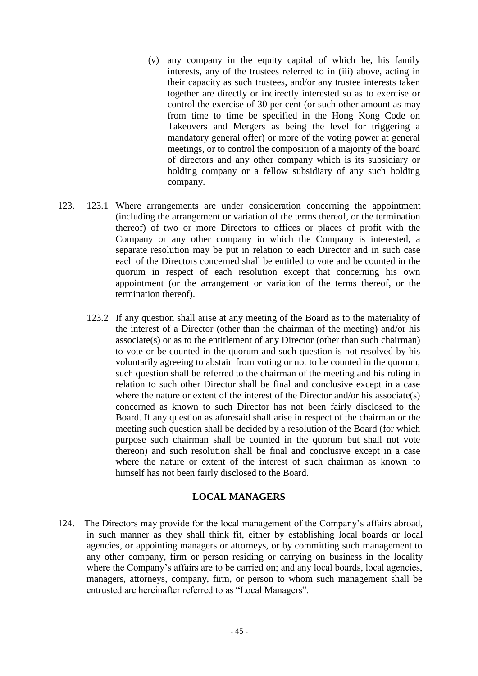- (v) any company in the equity capital of which he, his family interests, any of the trustees referred to in (iii) above, acting in their capacity as such trustees, and/or any trustee interests taken together are directly or indirectly interested so as to exercise or control the exercise of 30 per cent (or such other amount as may from time to time be specified in the Hong Kong Code on Takeovers and Mergers as being the level for triggering a mandatory general offer) or more of the voting power at general meetings, or to control the composition of a majority of the board of directors and any other company which is its subsidiary or holding company or a fellow subsidiary of any such holding company.
- 123. 123.1 Where arrangements are under consideration concerning the appointment (including the arrangement or variation of the terms thereof, or the termination thereof) of two or more Directors to offices or places of profit with the Company or any other company in which the Company is interested, a separate resolution may be put in relation to each Director and in such case each of the Directors concerned shall be entitled to vote and be counted in the quorum in respect of each resolution except that concerning his own appointment (or the arrangement or variation of the terms thereof, or the termination thereof).
	- 123.2 If any question shall arise at any meeting of the Board as to the materiality of the interest of a Director (other than the chairman of the meeting) and/or his associate(s) or as to the entitlement of any Director (other than such chairman) to vote or be counted in the quorum and such question is not resolved by his voluntarily agreeing to abstain from voting or not to be counted in the quorum, such question shall be referred to the chairman of the meeting and his ruling in relation to such other Director shall be final and conclusive except in a case where the nature or extent of the interest of the Director and/or his associate(s) concerned as known to such Director has not been fairly disclosed to the Board. If any question as aforesaid shall arise in respect of the chairman or the meeting such question shall be decided by a resolution of the Board (for which purpose such chairman shall be counted in the quorum but shall not vote thereon) and such resolution shall be final and conclusive except in a case where the nature or extent of the interest of such chairman as known to himself has not been fairly disclosed to the Board.

## **LOCAL MANAGERS**

124. The Directors may provide for the local management of the Company's affairs abroad, in such manner as they shall think fit, either by establishing local boards or local agencies, or appointing managers or attorneys, or by committing such management to any other company, firm or person residing or carrying on business in the locality where the Company's affairs are to be carried on; and any local boards, local agencies, managers, attorneys, company, firm, or person to whom such management shall be entrusted are hereinafter referred to as "Local Managers".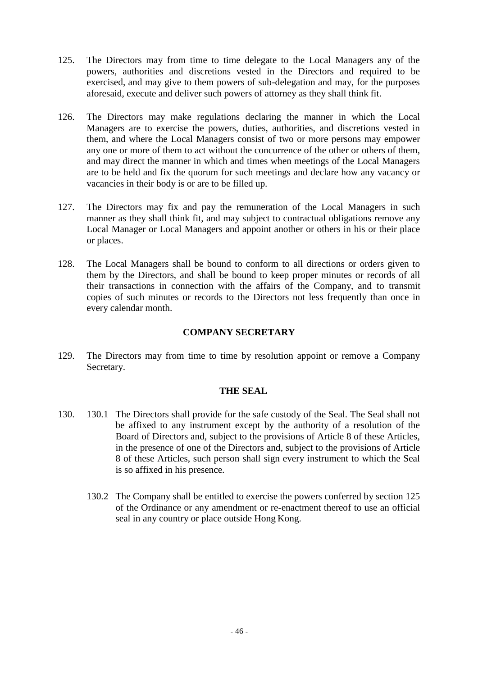- 125. The Directors may from time to time delegate to the Local Managers any of the powers, authorities and discretions vested in the Directors and required to be exercised, and may give to them powers of sub-delegation and may, for the purposes aforesaid, execute and deliver such powers of attorney as they shall think fit.
- 126. The Directors may make regulations declaring the manner in which the Local Managers are to exercise the powers, duties, authorities, and discretions vested in them, and where the Local Managers consist of two or more persons may empower any one or more of them to act without the concurrence of the other or others of them, and may direct the manner in which and times when meetings of the Local Managers are to be held and fix the quorum for such meetings and declare how any vacancy or vacancies in their body is or are to be filled up.
- 127. The Directors may fix and pay the remuneration of the Local Managers in such manner as they shall think fit, and may subject to contractual obligations remove any Local Manager or Local Managers and appoint another or others in his or their place or places.
- 128. The Local Managers shall be bound to conform to all directions or orders given to them by the Directors, and shall be bound to keep proper minutes or records of all their transactions in connection with the affairs of the Company, and to transmit copies of such minutes or records to the Directors not less frequently than once in every calendar month.

## **COMPANY SECRETARY**

129. The Directors may from time to time by resolution appoint or remove a Company Secretary.

## **THE SEAL**

- 130. 130.1 The Directors shall provide for the safe custody of the Seal. The Seal shall not be affixed to any instrument except by the authority of a resolution of the Board of Directors and, subject to the provisions of Article 8 of these Articles, in the presence of one of the Directors and, subject to the provisions of Article 8 of these Articles, such person shall sign every instrument to which the Seal is so affixed in his presence.
	- 130.2 The Company shall be entitled to exercise the powers conferred by section 125 of the Ordinance or any amendment or re-enactment thereof to use an official seal in any country or place outside Hong Kong.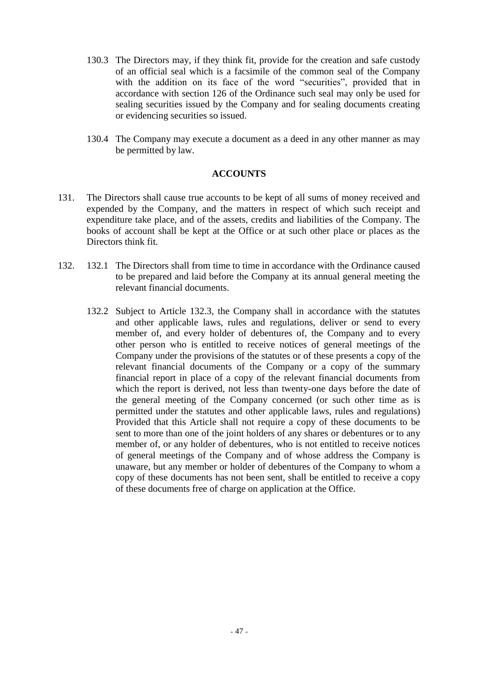- 130.3 The Directors may, if they think fit, provide for the creation and safe custody of an official seal which is a facsimile of the common seal of the Company with the addition on its face of the word "securities", provided that in accordance with section 126 of the Ordinance such seal may only be used for sealing securities issued by the Company and for sealing documents creating or evidencing securities so issued.
- 130.4 The Company may execute a document as a deed in any other manner as may be permitted by law.

### **ACCOUNTS**

- 131. The Directors shall cause true accounts to be kept of all sums of money received and expended by the Company, and the matters in respect of which such receipt and expenditure take place, and of the assets, credits and liabilities of the Company. The books of account shall be kept at the Office or at such other place or places as the Directors think fit.
- 132. 132.1 The Directors shall from time to time in accordance with the Ordinance caused to be prepared and laid before the Company at its annual general meeting the relevant financial documents.
	- 132.2 Subject to Article 132.3, the Company shall in accordance with the statutes and other applicable laws, rules and regulations, deliver or send to every member of, and every holder of debentures of, the Company and to every other person who is entitled to receive notices of general meetings of the Company under the provisions of the statutes or of these presents a copy of the relevant financial documents of the Company or a copy of the summary financial report in place of a copy of the relevant financial documents from which the report is derived, not less than twenty-one days before the date of the general meeting of the Company concerned (or such other time as is permitted under the statutes and other applicable laws, rules and regulations) Provided that this Article shall not require a copy of these documents to be sent to more than one of the joint holders of any shares or debentures or to any member of, or any holder of debentures, who is not entitled to receive notices of general meetings of the Company and of whose address the Company is unaware, but any member or holder of debentures of the Company to whom a copy of these documents has not been sent, shall be entitled to receive a copy of these documents free of charge on application at the Office.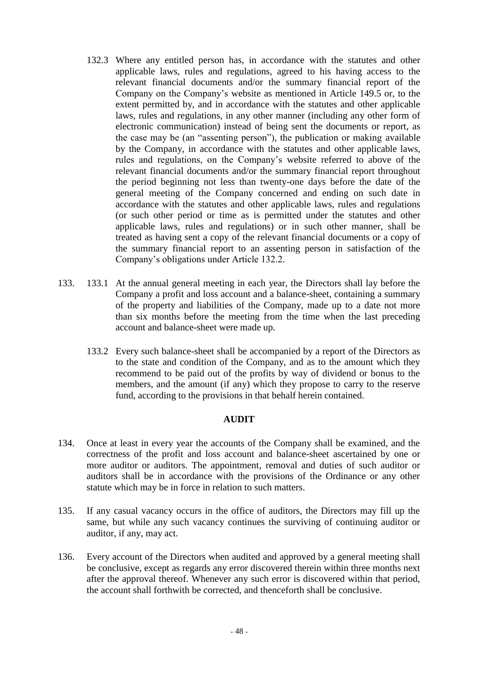- 132.3 Where any entitled person has, in accordance with the statutes and other applicable laws, rules and regulations, agreed to his having access to the relevant financial documents and/or the summary financial report of the Company on the Company's website as mentioned in Article 149.5 or, to the extent permitted by, and in accordance with the statutes and other applicable laws, rules and regulations, in any other manner (including any other form of electronic communication) instead of being sent the documents or report, as the case may be (an "assenting person"), the publication or making available by the Company, in accordance with the statutes and other applicable laws, rules and regulations, on the Company's website referred to above of the relevant financial documents and/or the summary financial report throughout the period beginning not less than twenty-one days before the date of the general meeting of the Company concerned and ending on such date in accordance with the statutes and other applicable laws, rules and regulations (or such other period or time as is permitted under the statutes and other applicable laws, rules and regulations) or in such other manner, shall be treated as having sent a copy of the relevant financial documents or a copy of the summary financial report to an assenting person in satisfaction of the Company's obligations under Article 132.2.
- 133. 133.1 At the annual general meeting in each year, the Directors shall lay before the Company a profit and loss account and a balance-sheet, containing a summary of the property and liabilities of the Company, made up to a date not more than six months before the meeting from the time when the last preceding account and balance-sheet were made up.
	- 133.2 Every such balance-sheet shall be accompanied by a report of the Directors as to the state and condition of the Company, and as to the amount which they recommend to be paid out of the profits by way of dividend or bonus to the members, and the amount (if any) which they propose to carry to the reserve fund, according to the provisions in that behalf herein contained.

### **AUDIT**

- 134. Once at least in every year the accounts of the Company shall be examined, and the correctness of the profit and loss account and balance-sheet ascertained by one or more auditor or auditors. The appointment, removal and duties of such auditor or auditors shall be in accordance with the provisions of the Ordinance or any other statute which may be in force in relation to such matters.
- 135. If any casual vacancy occurs in the office of auditors, the Directors may fill up the same, but while any such vacancy continues the surviving of continuing auditor or auditor, if any, may act.
- 136. Every account of the Directors when audited and approved by a general meeting shall be conclusive, except as regards any error discovered therein within three months next after the approval thereof. Whenever any such error is discovered within that period, the account shall forthwith be corrected, and thenceforth shall be conclusive.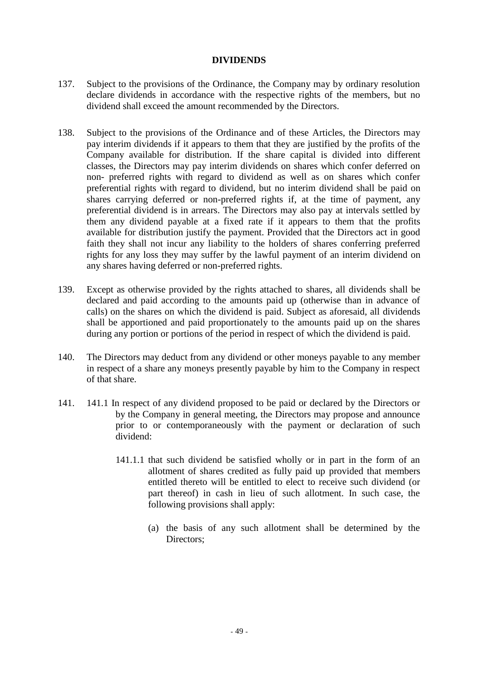### **DIVIDENDS**

- 137. Subject to the provisions of the Ordinance, the Company may by ordinary resolution declare dividends in accordance with the respective rights of the members, but no dividend shall exceed the amount recommended by the Directors.
- 138. Subject to the provisions of the Ordinance and of these Articles, the Directors may pay interim dividends if it appears to them that they are justified by the profits of the Company available for distribution. If the share capital is divided into different classes, the Directors may pay interim dividends on shares which confer deferred on non- preferred rights with regard to dividend as well as on shares which confer preferential rights with regard to dividend, but no interim dividend shall be paid on shares carrying deferred or non-preferred rights if, at the time of payment, any preferential dividend is in arrears. The Directors may also pay at intervals settled by them any dividend payable at a fixed rate if it appears to them that the profits available for distribution justify the payment. Provided that the Directors act in good faith they shall not incur any liability to the holders of shares conferring preferred rights for any loss they may suffer by the lawful payment of an interim dividend on any shares having deferred or non-preferred rights.
- 139. Except as otherwise provided by the rights attached to shares, all dividends shall be declared and paid according to the amounts paid up (otherwise than in advance of calls) on the shares on which the dividend is paid. Subject as aforesaid, all dividends shall be apportioned and paid proportionately to the amounts paid up on the shares during any portion or portions of the period in respect of which the dividend is paid.
- 140. The Directors may deduct from any dividend or other moneys payable to any member in respect of a share any moneys presently payable by him to the Company in respect of that share.
- 141. 141.1 In respect of any dividend proposed to be paid or declared by the Directors or by the Company in general meeting, the Directors may propose and announce prior to or contemporaneously with the payment or declaration of such dividend:
	- 141.1.1 that such dividend be satisfied wholly or in part in the form of an allotment of shares credited as fully paid up provided that members entitled thereto will be entitled to elect to receive such dividend (or part thereof) in cash in lieu of such allotment. In such case, the following provisions shall apply:
		- (a) the basis of any such allotment shall be determined by the Directors;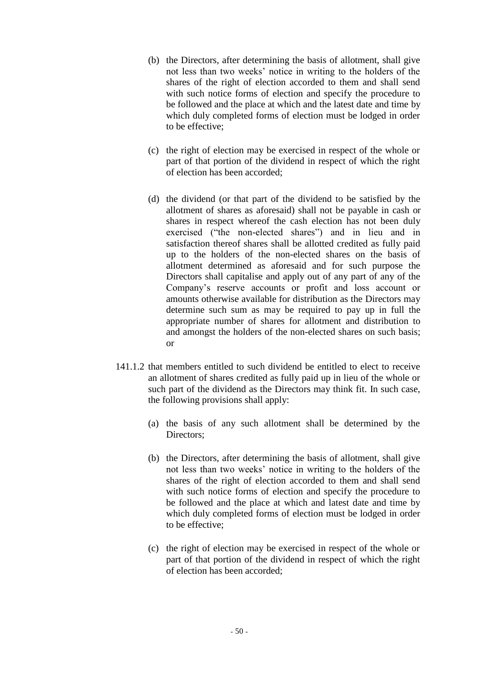- (b) the Directors, after determining the basis of allotment, shall give not less than two weeks' notice in writing to the holders of the shares of the right of election accorded to them and shall send with such notice forms of election and specify the procedure to be followed and the place at which and the latest date and time by which duly completed forms of election must be lodged in order to be effective;
- (c) the right of election may be exercised in respect of the whole or part of that portion of the dividend in respect of which the right of election has been accorded;
- (d) the dividend (or that part of the dividend to be satisfied by the allotment of shares as aforesaid) shall not be payable in cash or shares in respect whereof the cash election has not been duly exercised ("the non-elected shares") and in lieu and in satisfaction thereof shares shall be allotted credited as fully paid up to the holders of the non-elected shares on the basis of allotment determined as aforesaid and for such purpose the Directors shall capitalise and apply out of any part of any of the Company's reserve accounts or profit and loss account or amounts otherwise available for distribution as the Directors may determine such sum as may be required to pay up in full the appropriate number of shares for allotment and distribution to and amongst the holders of the non-elected shares on such basis; or
- 141.1.2 that members entitled to such dividend be entitled to elect to receive an allotment of shares credited as fully paid up in lieu of the whole or such part of the dividend as the Directors may think fit. In such case, the following provisions shall apply:
	- (a) the basis of any such allotment shall be determined by the Directors;
	- (b) the Directors, after determining the basis of allotment, shall give not less than two weeks' notice in writing to the holders of the shares of the right of election accorded to them and shall send with such notice forms of election and specify the procedure to be followed and the place at which and latest date and time by which duly completed forms of election must be lodged in order to be effective;
	- (c) the right of election may be exercised in respect of the whole or part of that portion of the dividend in respect of which the right of election has been accorded;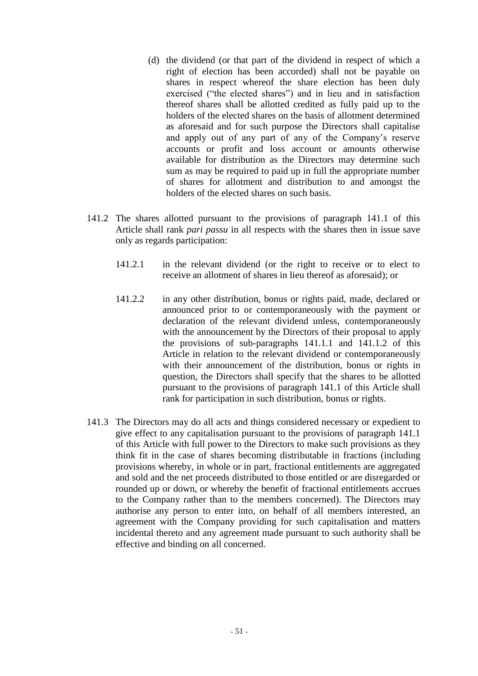- (d) the dividend (or that part of the dividend in respect of which a right of election has been accorded) shall not be payable on shares in respect whereof the share election has been duly exercised ("the elected shares") and in lieu and in satisfaction thereof shares shall be allotted credited as fully paid up to the holders of the elected shares on the basis of allotment determined as aforesaid and for such purpose the Directors shall capitalise and apply out of any part of any of the Company's reserve accounts or profit and loss account or amounts otherwise available for distribution as the Directors may determine such sum as may be required to paid up in full the appropriate number of shares for allotment and distribution to and amongst the holders of the elected shares on such basis.
- 141.2 The shares allotted pursuant to the provisions of paragraph 141.1 of this Article shall rank *pari passu* in all respects with the shares then in issue save only as regards participation:
	- 141.2.1 in the relevant dividend (or the right to receive or to elect to receive an allotment of shares in lieu thereof as aforesaid); or
	- 141.2.2 in any other distribution, bonus or rights paid, made, declared or announced prior to or contemporaneously with the payment or declaration of the relevant dividend unless, contemporaneously with the announcement by the Directors of their proposal to apply the provisions of sub-paragraphs 141.1.1 and 141.1.2 of this Article in relation to the relevant dividend or contemporaneously with their announcement of the distribution, bonus or rights in question, the Directors shall specify that the shares to be allotted pursuant to the provisions of paragraph 141.1 of this Article shall rank for participation in such distribution, bonus or rights.
- 141.3 The Directors may do all acts and things considered necessary or expedient to give effect to any capitalisation pursuant to the provisions of paragraph 141.1 of this Article with full power to the Directors to make such provisions as they think fit in the case of shares becoming distributable in fractions (including provisions whereby, in whole or in part, fractional entitlements are aggregated and sold and the net proceeds distributed to those entitled or are disregarded or rounded up or down, or whereby the benefit of fractional entitlements accrues to the Company rather than to the members concerned). The Directors may authorise any person to enter into, on behalf of all members interested, an agreement with the Company providing for such capitalisation and matters incidental thereto and any agreement made pursuant to such authority shall be effective and binding on all concerned.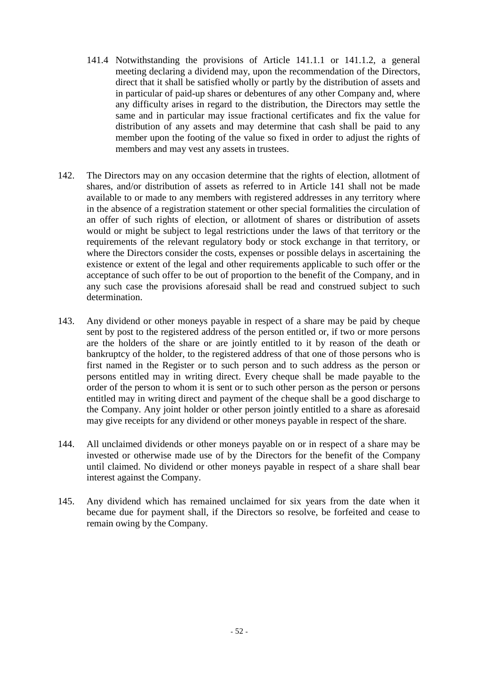- 141.4 Notwithstanding the provisions of Article 141.1.1 or 141.1.2, a general meeting declaring a dividend may, upon the recommendation of the Directors, direct that it shall be satisfied wholly or partly by the distribution of assets and in particular of paid-up shares or debentures of any other Company and, where any difficulty arises in regard to the distribution, the Directors may settle the same and in particular may issue fractional certificates and fix the value for distribution of any assets and may determine that cash shall be paid to any member upon the footing of the value so fixed in order to adjust the rights of members and may vest any assets in trustees.
- 142. The Directors may on any occasion determine that the rights of election, allotment of shares, and/or distribution of assets as referred to in Article 141 shall not be made available to or made to any members with registered addresses in any territory where in the absence of a registration statement or other special formalities the circulation of an offer of such rights of election, or allotment of shares or distribution of assets would or might be subject to legal restrictions under the laws of that territory or the requirements of the relevant regulatory body or stock exchange in that territory, or where the Directors consider the costs, expenses or possible delays in ascertaining the existence or extent of the legal and other requirements applicable to such offer or the acceptance of such offer to be out of proportion to the benefit of the Company, and in any such case the provisions aforesaid shall be read and construed subject to such determination.
- 143. Any dividend or other moneys payable in respect of a share may be paid by cheque sent by post to the registered address of the person entitled or, if two or more persons are the holders of the share or are jointly entitled to it by reason of the death or bankruptcy of the holder, to the registered address of that one of those persons who is first named in the Register or to such person and to such address as the person or persons entitled may in writing direct. Every cheque shall be made payable to the order of the person to whom it is sent or to such other person as the person or persons entitled may in writing direct and payment of the cheque shall be a good discharge to the Company. Any joint holder or other person jointly entitled to a share as aforesaid may give receipts for any dividend or other moneys payable in respect of the share.
- 144. All unclaimed dividends or other moneys payable on or in respect of a share may be invested or otherwise made use of by the Directors for the benefit of the Company until claimed. No dividend or other moneys payable in respect of a share shall bear interest against the Company.
- 145. Any dividend which has remained unclaimed for six years from the date when it became due for payment shall, if the Directors so resolve, be forfeited and cease to remain owing by the Company.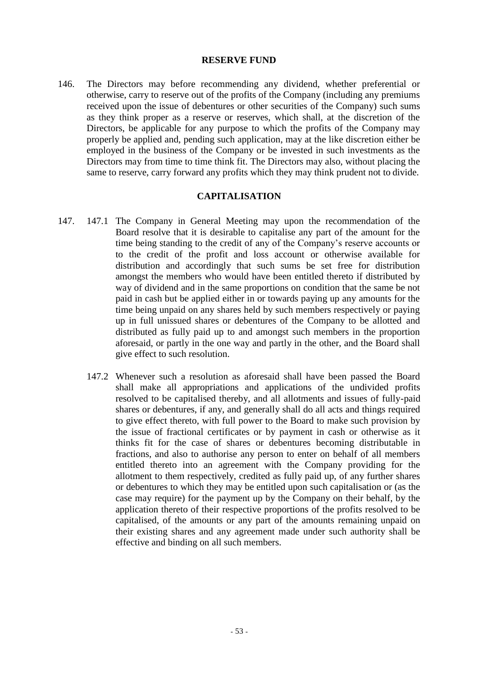### **RESERVE FUND**

146. The Directors may before recommending any dividend, whether preferential or otherwise, carry to reserve out of the profits of the Company (including any premiums received upon the issue of debentures or other securities of the Company) such sums as they think proper as a reserve or reserves, which shall, at the discretion of the Directors, be applicable for any purpose to which the profits of the Company may properly be applied and, pending such application, may at the like discretion either be employed in the business of the Company or be invested in such investments as the Directors may from time to time think fit. The Directors may also, without placing the same to reserve, carry forward any profits which they may think prudent not to divide.

### **CAPITALISATION**

- 147. 147.1 The Company in General Meeting may upon the recommendation of the Board resolve that it is desirable to capitalise any part of the amount for the time being standing to the credit of any of the Company's reserve accounts or to the credit of the profit and loss account or otherwise available for distribution and accordingly that such sums be set free for distribution amongst the members who would have been entitled thereto if distributed by way of dividend and in the same proportions on condition that the same be not paid in cash but be applied either in or towards paying up any amounts for the time being unpaid on any shares held by such members respectively or paying up in full unissued shares or debentures of the Company to be allotted and distributed as fully paid up to and amongst such members in the proportion aforesaid, or partly in the one way and partly in the other, and the Board shall give effect to such resolution.
	- 147.2 Whenever such a resolution as aforesaid shall have been passed the Board shall make all appropriations and applications of the undivided profits resolved to be capitalised thereby, and all allotments and issues of fully-paid shares or debentures, if any, and generally shall do all acts and things required to give effect thereto, with full power to the Board to make such provision by the issue of fractional certificates or by payment in cash or otherwise as it thinks fit for the case of shares or debentures becoming distributable in fractions, and also to authorise any person to enter on behalf of all members entitled thereto into an agreement with the Company providing for the allotment to them respectively, credited as fully paid up, of any further shares or debentures to which they may be entitled upon such capitalisation or (as the case may require) for the payment up by the Company on their behalf, by the application thereto of their respective proportions of the profits resolved to be capitalised, of the amounts or any part of the amounts remaining unpaid on their existing shares and any agreement made under such authority shall be effective and binding on all such members.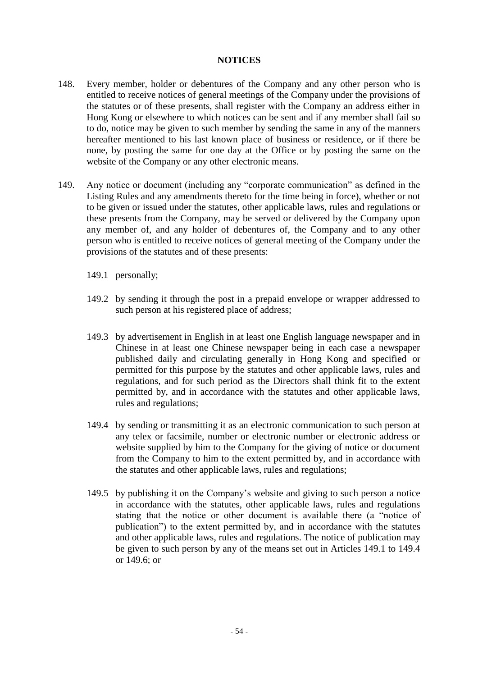### **NOTICES**

- 148. Every member, holder or debentures of the Company and any other person who is entitled to receive notices of general meetings of the Company under the provisions of the statutes or of these presents, shall register with the Company an address either in Hong Kong or elsewhere to which notices can be sent and if any member shall fail so to do, notice may be given to such member by sending the same in any of the manners hereafter mentioned to his last known place of business or residence, or if there be none, by posting the same for one day at the Office or by posting the same on the website of the Company or any other electronic means.
- 149. Any notice or document (including any "corporate communication" as defined in the Listing Rules and any amendments thereto for the time being in force), whether or not to be given or issued under the statutes, other applicable laws, rules and regulations or these presents from the Company, may be served or delivered by the Company upon any member of, and any holder of debentures of, the Company and to any other person who is entitled to receive notices of general meeting of the Company under the provisions of the statutes and of these presents:
	- 149.1 personally;
	- 149.2 by sending it through the post in a prepaid envelope or wrapper addressed to such person at his registered place of address;
	- 149.3 by advertisement in English in at least one English language newspaper and in Chinese in at least one Chinese newspaper being in each case a newspaper published daily and circulating generally in Hong Kong and specified or permitted for this purpose by the statutes and other applicable laws, rules and regulations, and for such period as the Directors shall think fit to the extent permitted by, and in accordance with the statutes and other applicable laws, rules and regulations;
	- 149.4 by sending or transmitting it as an electronic communication to such person at any telex or facsimile, number or electronic number or electronic address or website supplied by him to the Company for the giving of notice or document from the Company to him to the extent permitted by, and in accordance with the statutes and other applicable laws, rules and regulations;
	- 149.5 by publishing it on the Company's website and giving to such person a notice in accordance with the statutes, other applicable laws, rules and regulations stating that the notice or other document is available there (a "notice of publication") to the extent permitted by, and in accordance with the statutes and other applicable laws, rules and regulations. The notice of publication may be given to such person by any of the means set out in Articles 149.1 to 149.4 or 149.6; or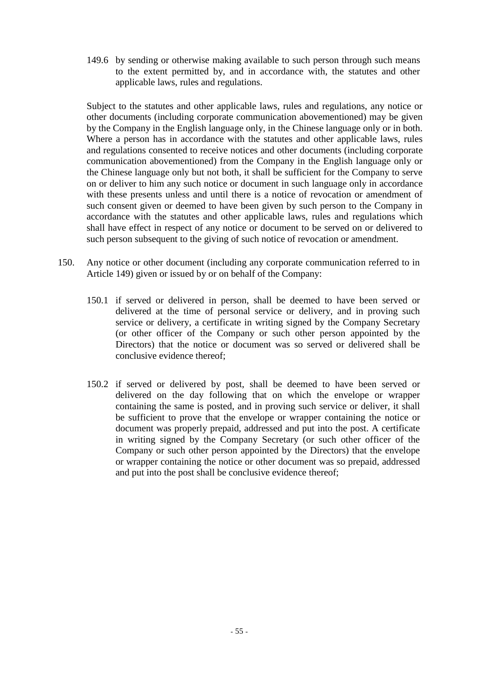149.6 by sending or otherwise making available to such person through such means to the extent permitted by, and in accordance with, the statutes and other applicable laws, rules and regulations.

Subject to the statutes and other applicable laws, rules and regulations, any notice or other documents (including corporate communication abovementioned) may be given by the Company in the English language only, in the Chinese language only or in both. Where a person has in accordance with the statutes and other applicable laws, rules and regulations consented to receive notices and other documents (including corporate communication abovementioned) from the Company in the English language only or the Chinese language only but not both, it shall be sufficient for the Company to serve on or deliver to him any such notice or document in such language only in accordance with these presents unless and until there is a notice of revocation or amendment of such consent given or deemed to have been given by such person to the Company in accordance with the statutes and other applicable laws, rules and regulations which shall have effect in respect of any notice or document to be served on or delivered to such person subsequent to the giving of such notice of revocation or amendment.

- 150. Any notice or other document (including any corporate communication referred to in Article 149) given or issued by or on behalf of the Company:
	- 150.1 if served or delivered in person, shall be deemed to have been served or delivered at the time of personal service or delivery, and in proving such service or delivery, a certificate in writing signed by the Company Secretary (or other officer of the Company or such other person appointed by the Directors) that the notice or document was so served or delivered shall be conclusive evidence thereof;
	- 150.2 if served or delivered by post, shall be deemed to have been served or delivered on the day following that on which the envelope or wrapper containing the same is posted, and in proving such service or deliver, it shall be sufficient to prove that the envelope or wrapper containing the notice or document was properly prepaid, addressed and put into the post. A certificate in writing signed by the Company Secretary (or such other officer of the Company or such other person appointed by the Directors) that the envelope or wrapper containing the notice or other document was so prepaid, addressed and put into the post shall be conclusive evidence thereof;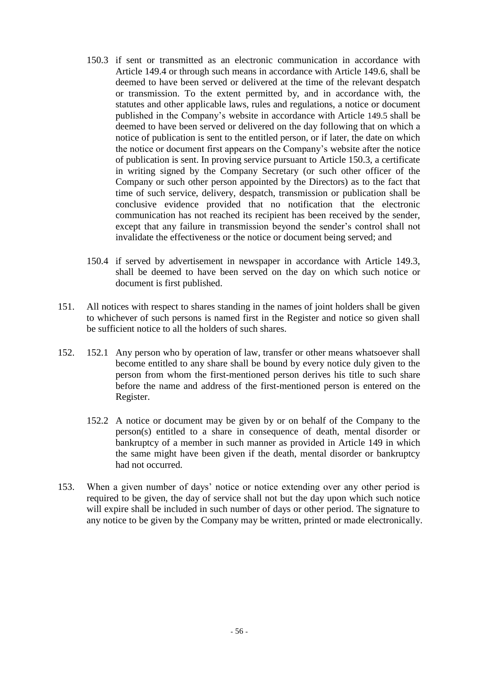- 150.3 if sent or transmitted as an electronic communication in accordance with Article 149.4 or through such means in accordance with Article 149.6, shall be deemed to have been served or delivered at the time of the relevant despatch or transmission. To the extent permitted by, and in accordance with, the statutes and other applicable laws, rules and regulations, a notice or document published in the Company's website in accordance with Article 149.5 shall be deemed to have been served or delivered on the day following that on which a notice of publication is sent to the entitled person, or if later, the date on which the notice or document first appears on the Company's website after the notice of publication is sent. In proving service pursuant to Article 150.3, a certificate in writing signed by the Company Secretary (or such other officer of the Company or such other person appointed by the Directors) as to the fact that time of such service, delivery, despatch, transmission or publication shall be conclusive evidence provided that no notification that the electronic communication has not reached its recipient has been received by the sender, except that any failure in transmission beyond the sender's control shall not invalidate the effectiveness or the notice or document being served; and
- 150.4 if served by advertisement in newspaper in accordance with Article 149.3, shall be deemed to have been served on the day on which such notice or document is first published.
- 151. All notices with respect to shares standing in the names of joint holders shall be given to whichever of such persons is named first in the Register and notice so given shall be sufficient notice to all the holders of such shares.
- 152. 152.1 Any person who by operation of law, transfer or other means whatsoever shall become entitled to any share shall be bound by every notice duly given to the person from whom the first-mentioned person derives his title to such share before the name and address of the first-mentioned person is entered on the Register.
	- 152.2 A notice or document may be given by or on behalf of the Company to the person(s) entitled to a share in consequence of death, mental disorder or bankruptcy of a member in such manner as provided in Article 149 in which the same might have been given if the death, mental disorder or bankruptcy had not occurred.
- 153. When a given number of days' notice or notice extending over any other period is required to be given, the day of service shall not but the day upon which such notice will expire shall be included in such number of days or other period. The signature to any notice to be given by the Company may be written, printed or made electronically.